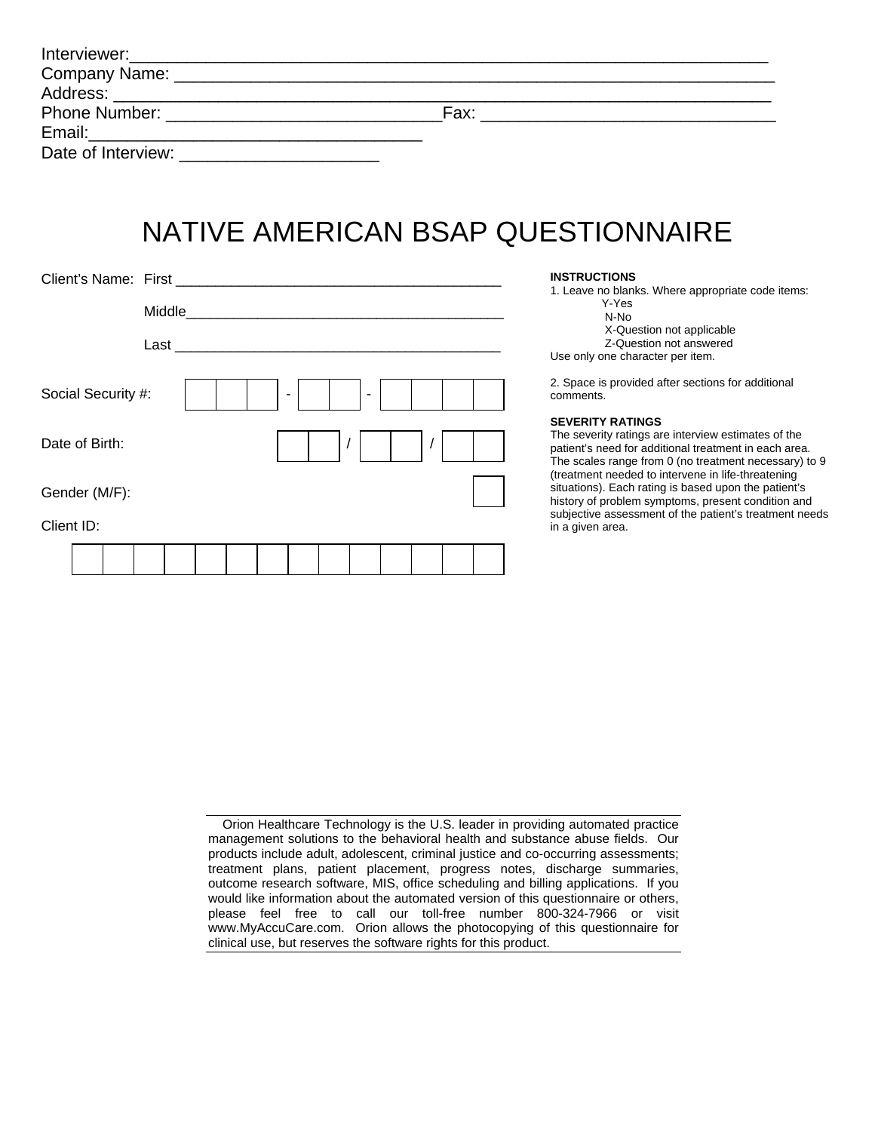| <b>Phone Number:</b> The Contract of the Contract of the Contract of the Contract of the Contract of the Contract of the Contract of the Contract of the Contract of the Contract of the Contract of the Contract of the Contract o | Fax: |  |
|-------------------------------------------------------------------------------------------------------------------------------------------------------------------------------------------------------------------------------------|------|--|
|                                                                                                                                                                                                                                     |      |  |
|                                                                                                                                                                                                                                     |      |  |

## NATIVE AMERICAN BSAP QUESTIONNAIRE

|                              | <b>INSTRUG</b><br>1. Leave                                        |
|------------------------------|-------------------------------------------------------------------|
| Middle                       |                                                                   |
| $Last$ $\_\_$                | Use only                                                          |
| Social Security #:<br>٠<br>٠ | 2. Space<br>comment                                               |
| Date of Birth:               | <b>SEVERIT</b><br>The seve<br>patient's<br>The scale<br>(treatmer |
| Gender (M/F):                | situations<br>history of                                          |
| Client ID:                   | subjective<br>in a giver                                          |
|                              |                                                                   |

#### **CTIONS**

no blanks. Where appropriate code items: Y-Yes N-No X-Question not applicable Z-Question not answered one character per item.

is provided after sections for additional ts.

#### **SEVERITY RATINGS**

erity ratings are interview estimates of the need for additional treatment in each area. es range from 0 (no treatment necessary) to 9 ht needed to intervene in life-threatening s). Each rating is based upon the patient's problem symptoms, present condition and e assessment of the patient's treatment needs n area.

| Orion Healthcare Technology is the U.S. leader in providing automated practice      |  |  |  |  |  |  |
|-------------------------------------------------------------------------------------|--|--|--|--|--|--|
| management solutions to the behavioral health and substance abuse fields. Our       |  |  |  |  |  |  |
| products include adult, adolescent, criminal justice and co-occurring assessments;  |  |  |  |  |  |  |
| treatment plans, patient placement, progress notes, discharge summaries,            |  |  |  |  |  |  |
| outcome research software, MIS, office scheduling and billing applications. If you  |  |  |  |  |  |  |
| would like information about the automated version of this questionnaire or others, |  |  |  |  |  |  |
| please feel free to call our toll-free number 800-324-7966 or visit                 |  |  |  |  |  |  |
| www.MyAccuCare.com. Orion allows the photocopying of this questionnaire for         |  |  |  |  |  |  |
| clinical use, but reserves the software rights for this product.                    |  |  |  |  |  |  |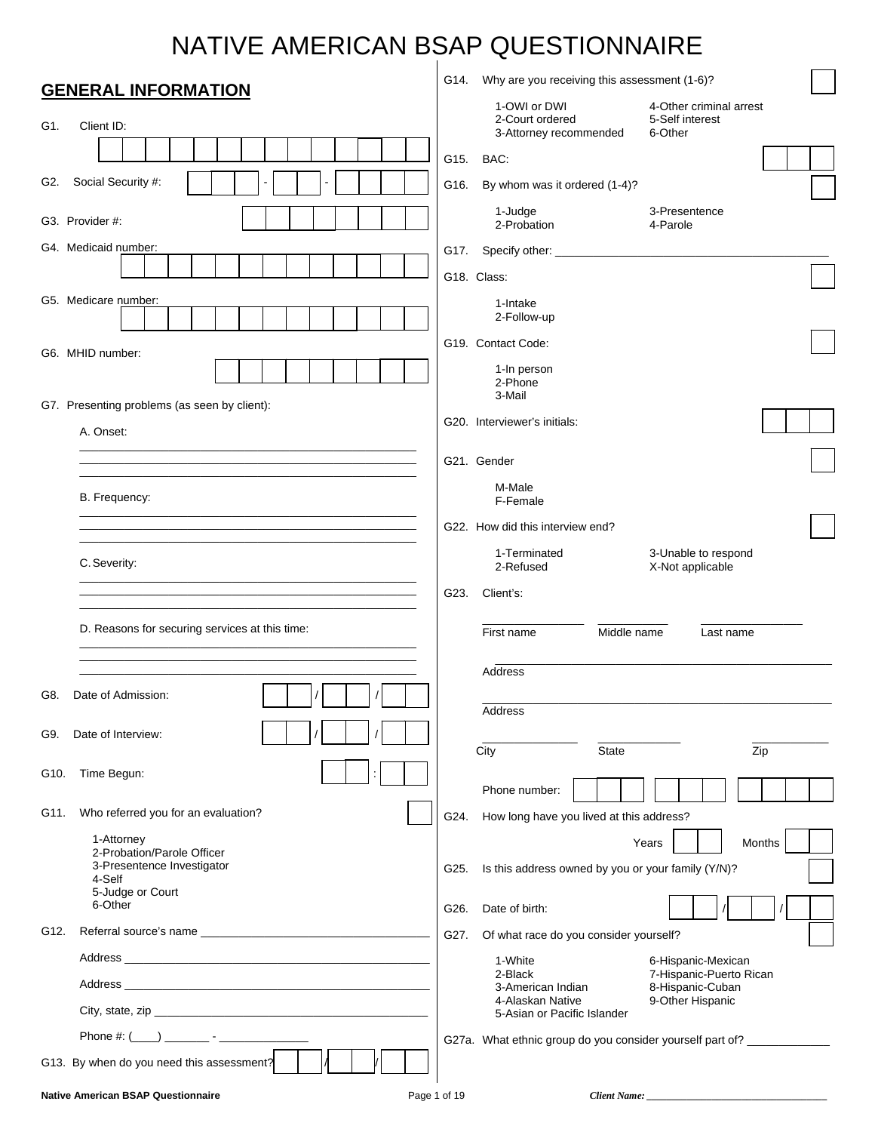# NATIVE AMERICAN BSAP QUESTIONNAIRE

|      | <b>GENERAL INFORMATION</b>                                                                                            | G14. | Why are you receiving this assessment (1-6)?              |                                                                         |  |
|------|-----------------------------------------------------------------------------------------------------------------------|------|-----------------------------------------------------------|-------------------------------------------------------------------------|--|
| G1.  | Client ID:                                                                                                            |      | 1-OWI or DWI<br>2-Court ordered<br>3-Attorney recommended | 4-Other criminal arrest<br>5-Self interest<br>6-Other                   |  |
|      |                                                                                                                       | G15. | BAC:                                                      |                                                                         |  |
| G2.  | Social Security #:                                                                                                    | G16. | By whom was it ordered (1-4)?                             |                                                                         |  |
|      | G3. Provider #:                                                                                                       |      | 1-Judge<br>2-Probation                                    | 3-Presentence<br>4-Parole                                               |  |
|      | G4. Medicaid number:                                                                                                  | G17. | G18. Class:                                               |                                                                         |  |
|      | G5. Medicare number:                                                                                                  |      | 1-Intake<br>2-Follow-up                                   |                                                                         |  |
|      | G6. MHID number:                                                                                                      |      | G19. Contact Code:                                        |                                                                         |  |
|      |                                                                                                                       |      | 1-In person<br>2-Phone<br>3-Mail                          |                                                                         |  |
|      | G7. Presenting problems (as seen by client):<br>A. Onset:                                                             |      | G20. Interviewer's initials:                              |                                                                         |  |
|      | <u> 1990 - Jan Bernard Bernard, mension bernard bernard bernard bernard bernard bernard bernard bernard bernard b</u> |      | G21. Gender                                               |                                                                         |  |
|      | B. Frequency:                                                                                                         |      | M-Male                                                    |                                                                         |  |
|      |                                                                                                                       |      | F-Female<br>G22. How did this interview end?              |                                                                         |  |
|      |                                                                                                                       |      | 1-Terminated                                              | 3-Unable to respond                                                     |  |
|      | C. Severity:                                                                                                          |      | 2-Refused                                                 | X-Not applicable                                                        |  |
|      |                                                                                                                       | G23. | Client's:                                                 |                                                                         |  |
|      | D. Reasons for securing services at this time:                                                                        |      | Middle name<br>First name                                 | Last name                                                               |  |
|      |                                                                                                                       |      | Address                                                   |                                                                         |  |
| G8.  | Date of Admission:                                                                                                    |      |                                                           |                                                                         |  |
| G9.  | Date of Interview:                                                                                                    |      | Address                                                   |                                                                         |  |
|      |                                                                                                                       |      | City<br><b>State</b>                                      | Zip                                                                     |  |
| G10. | Time Begun:                                                                                                           |      | Phone number:                                             |                                                                         |  |
| G11. | Who referred you for an evaluation?                                                                                   | G24. | How long have you lived at this address?                  |                                                                         |  |
|      | 1-Attorney<br>2-Probation/Parole Officer                                                                              |      |                                                           | Months<br>Years                                                         |  |
|      | 3-Presentence Investigator<br>4-Self                                                                                  | G25. | Is this address owned by you or your family (Y/N)?        |                                                                         |  |
|      | 5-Judge or Court<br>6-Other                                                                                           | G26. | Date of birth:                                            |                                                                         |  |
| G12. |                                                                                                                       | G27. | Of what race do you consider yourself?                    |                                                                         |  |
|      |                                                                                                                       |      | 1-White                                                   | 6-Hispanic-Mexican                                                      |  |
|      |                                                                                                                       |      | 2-Black<br>3-American Indian                              | 7-Hispanic-Puerto Rican<br>8-Hispanic-Cuban                             |  |
|      |                                                                                                                       |      | 4-Alaskan Native<br>5-Asian or Pacific Islander           | 9-Other Hispanic                                                        |  |
|      |                                                                                                                       |      |                                                           | G27a. What ethnic group do you consider yourself part of? _____________ |  |
|      | G13. By when do you need this assessment?                                                                             |      |                                                           |                                                                         |  |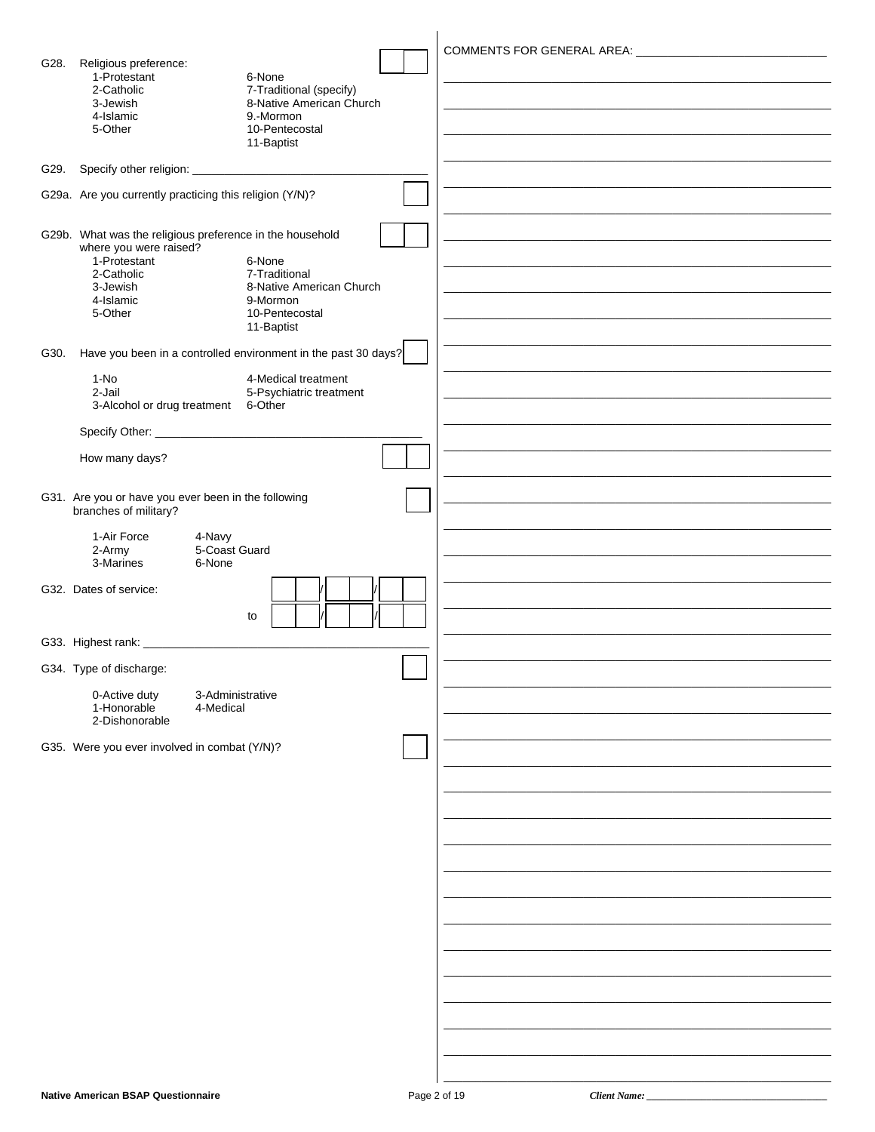| G28. | Religious preference:<br>1-Protestant<br>2-Catholic                          | 6-None<br>7-Traditional (specify)                              |  |
|------|------------------------------------------------------------------------------|----------------------------------------------------------------|--|
|      | 3-Jewish<br>4-Islamic                                                        | 8-Native American Church<br>9.-Mormon                          |  |
|      | 5-Other                                                                      | 10-Pentecostal<br>11-Baptist                                   |  |
| G29. |                                                                              |                                                                |  |
|      | G29a. Are you currently practicing this religion (Y/N)?                      |                                                                |  |
|      |                                                                              |                                                                |  |
|      | G29b. What was the religious preference in the household                     |                                                                |  |
|      | where you were raised?<br>1-Protestant                                       | 6-None                                                         |  |
|      | 2-Catholic<br>3-Jewish                                                       | 7-Traditional<br>8-Native American Church                      |  |
|      | 4-Islamic<br>5-Other                                                         | 9-Mormon<br>10-Pentecostal                                     |  |
|      |                                                                              | 11-Baptist                                                     |  |
| G30. |                                                                              | Have you been in a controlled environment in the past 30 days? |  |
|      | $1-NO$                                                                       | 4-Medical treatment                                            |  |
|      | 2-Jail<br>3-Alcohol or drug treatment                                        | 5-Psychiatric treatment<br>6-Other                             |  |
|      |                                                                              |                                                                |  |
|      | How many days?                                                               |                                                                |  |
|      |                                                                              |                                                                |  |
|      | G31. Are you or have you ever been in the following<br>branches of military? |                                                                |  |
|      | 1-Air Force<br>4-Navy<br>5-Coast Guard<br>2-Army                             |                                                                |  |
|      | 3-Marines<br>6-None                                                          |                                                                |  |
|      | G32. Dates of service:                                                       |                                                                |  |
|      |                                                                              | to                                                             |  |
|      |                                                                              |                                                                |  |
|      | G34. Type of discharge:                                                      |                                                                |  |
|      | 0-Active duty<br>3-Administrative<br>1-Honorable<br>4-Medical                |                                                                |  |
|      | 2-Dishonorable                                                               |                                                                |  |
|      | G35. Were you ever involved in combat (Y/N)?                                 |                                                                |  |
|      |                                                                              |                                                                |  |
|      |                                                                              |                                                                |  |
|      |                                                                              |                                                                |  |
|      |                                                                              |                                                                |  |
|      |                                                                              |                                                                |  |
|      |                                                                              |                                                                |  |
|      |                                                                              |                                                                |  |
|      |                                                                              |                                                                |  |
|      |                                                                              |                                                                |  |
|      |                                                                              |                                                                |  |
|      |                                                                              |                                                                |  |
|      |                                                                              |                                                                |  |
|      |                                                                              |                                                                |  |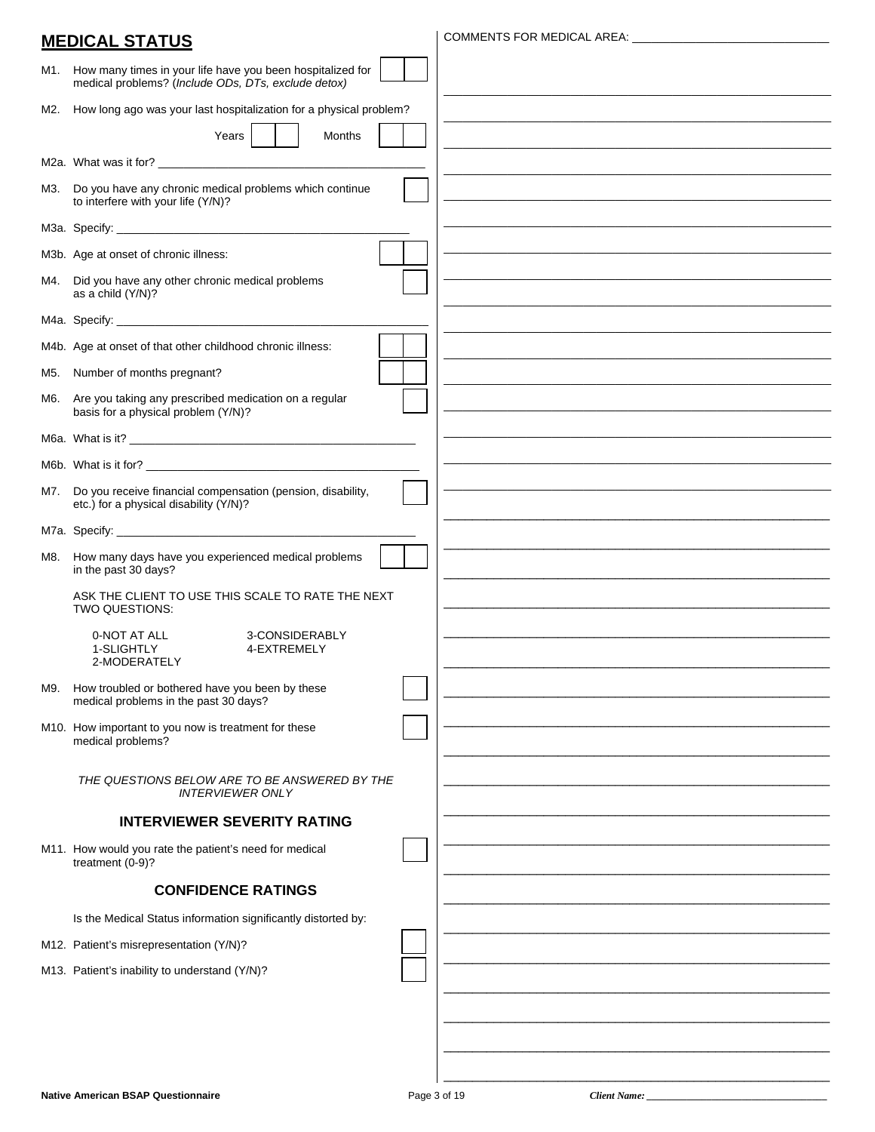|     | <b>MEDICAL STATUS</b>                                                                                             |                                                             |
|-----|-------------------------------------------------------------------------------------------------------------------|-------------------------------------------------------------|
| M1. | How many times in your life have you been hospitalized for<br>medical problems? (Include ODs, DTs, exclude detox) |                                                             |
| M2. | How long ago was your last hospitalization for a physical problem?                                                |                                                             |
|     | Years<br>Months                                                                                                   |                                                             |
|     |                                                                                                                   |                                                             |
| М3. | Do you have any chronic medical problems which continue<br>to interfere with your life (Y/N)?                     |                                                             |
|     |                                                                                                                   |                                                             |
|     | M3b. Age at onset of chronic illness:                                                                             |                                                             |
| M4. | Did you have any other chronic medical problems<br>as a child (Y/N)?                                              |                                                             |
|     |                                                                                                                   |                                                             |
|     | M4b. Age at onset of that other childhood chronic illness:                                                        |                                                             |
| M5. | Number of months pregnant?                                                                                        | <u> 1980 - Johann Stoff, amerikansk politiker (d. 1980)</u> |
| M6. | Are you taking any prescribed medication on a regular<br>basis for a physical problem (Y/N)?                      |                                                             |
|     |                                                                                                                   |                                                             |
|     |                                                                                                                   |                                                             |
| M7. | Do you receive financial compensation (pension, disability,<br>etc.) for a physical disability (Y/N)?             |                                                             |
|     |                                                                                                                   |                                                             |
| M8. | How many days have you experienced medical problems<br>in the past 30 days?                                       |                                                             |
|     | ASK THE CLIENT TO USE THIS SCALE TO RATE THE NEXT<br>TWO QUESTIONS:                                               |                                                             |
|     | 3-CONSIDERABLY<br>0-NOT AT ALL<br>1-SLIGHTLY<br>4-EXTREMELY<br>2-MODERATELY                                       |                                                             |
| M9. | How troubled or bothered have you been by these<br>medical problems in the past 30 days?                          |                                                             |
|     | M10. How important to you now is treatment for these<br>medical problems?                                         |                                                             |
|     | THE QUESTIONS BELOW ARE TO BE ANSWERED BY THE<br><b>INTERVIEWER ONLY</b>                                          |                                                             |
|     | <b>INTERVIEWER SEVERITY RATING</b>                                                                                |                                                             |
|     | M11. How would you rate the patient's need for medical<br>treatment (0-9)?                                        |                                                             |
|     | <b>CONFIDENCE RATINGS</b>                                                                                         |                                                             |
|     | Is the Medical Status information significantly distorted by:                                                     |                                                             |
|     | M12. Patient's misrepresentation (Y/N)?                                                                           |                                                             |
|     | M13. Patient's inability to understand (Y/N)?                                                                     |                                                             |
|     |                                                                                                                   |                                                             |
|     |                                                                                                                   |                                                             |
|     |                                                                                                                   |                                                             |
|     |                                                                                                                   |                                                             |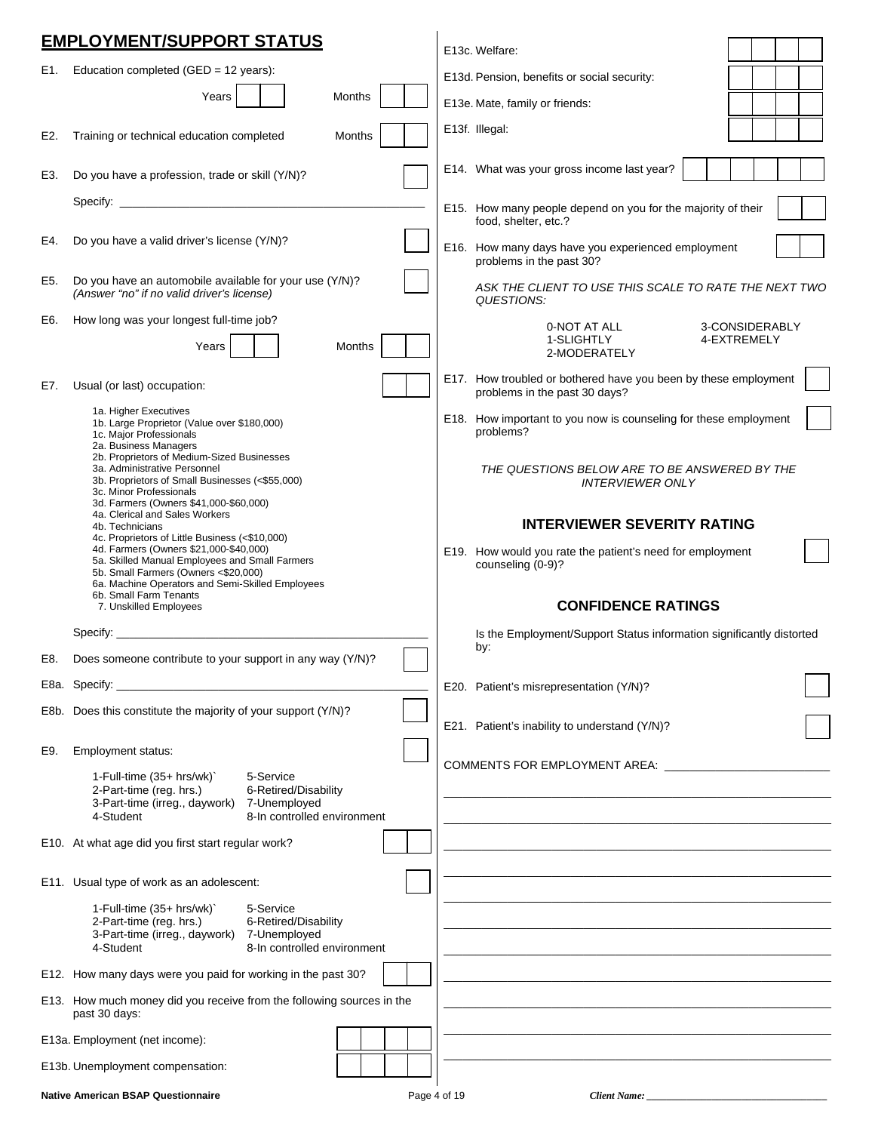|     | <b>EMPLOYMENT/SUPPORT STATUS</b>                                                                                                                                                                                                       | E13c. Welfare:                                                                                   |  |
|-----|----------------------------------------------------------------------------------------------------------------------------------------------------------------------------------------------------------------------------------------|--------------------------------------------------------------------------------------------------|--|
| E1. | Education completed (GED = $12$ years):                                                                                                                                                                                                | E13d. Pension, benefits or social security:                                                      |  |
|     | Years<br>Months                                                                                                                                                                                                                        | E13e. Mate, family or friends:                                                                   |  |
| E2. | Training or technical education completed<br>Months                                                                                                                                                                                    | E13f. Illegal:                                                                                   |  |
| E3. | Do you have a profession, trade or skill (Y/N)?                                                                                                                                                                                        | E14. What was your gross income last year?                                                       |  |
|     |                                                                                                                                                                                                                                        | E15. How many people depend on you for the majority of their                                     |  |
| E4. | Do you have a valid driver's license (Y/N)?                                                                                                                                                                                            | food, shelter, etc.?<br>E16. How many days have you experienced employment                       |  |
| E5. | Do you have an automobile available for your use (Y/N)?<br>(Answer "no" if no valid driver's license)                                                                                                                                  | problems in the past 30?<br>ASK THE CLIENT TO USE THIS SCALE TO RATE THE NEXT TWO<br>QUESTIONS:  |  |
| E6. | How long was your longest full-time job?                                                                                                                                                                                               | 3-CONSIDERABLY<br>0-NOT AT ALL                                                                   |  |
|     | Years<br><b>Months</b>                                                                                                                                                                                                                 | 1-SLIGHTLY<br>4-EXTREMELY<br>2-MODERATELY                                                        |  |
| E7. | Usual (or last) occupation:                                                                                                                                                                                                            | E17. How troubled or bothered have you been by these employment<br>problems in the past 30 days? |  |
|     | 1a. Higher Executives<br>1b. Large Proprietor (Value over \$180,000)<br>1c. Major Professionals<br>2a. Business Managers                                                                                                               | E18. How important to you now is counseling for these employment<br>problems?                    |  |
|     | 2b. Proprietors of Medium-Sized Businesses<br>3a. Administrative Personnel<br>3b. Proprietors of Small Businesses (<\$55,000)<br>3c. Minor Professionals<br>3d. Farmers (Owners \$41,000-\$60,000)                                     | THE QUESTIONS BELOW ARE TO BE ANSWERED BY THE<br><b>INTERVIEWER ONLY</b>                         |  |
|     | 4a. Clerical and Sales Workers<br>4b. Technicians                                                                                                                                                                                      | <b>INTERVIEWER SEVERITY RATING</b>                                                               |  |
|     | 4c. Proprietors of Little Business (<\$10,000)<br>4d. Farmers (Owners \$21,000-\$40,000)<br>5a. Skilled Manual Employees and Small Farmers<br>5b. Small Farmers (Owners <\$20,000)<br>6a. Machine Operators and Semi-Skilled Employees | E19. How would you rate the patient's need for employment<br>counseling (0-9)?                   |  |
|     | 6b. Small Farm Tenants<br>7. Unskilled Employees                                                                                                                                                                                       | <b>CONFIDENCE RATINGS</b>                                                                        |  |
|     | Specify: $\_$                                                                                                                                                                                                                          | Is the Employment/Support Status information significantly distorted                             |  |
| E8. | Does someone contribute to your support in any way (Y/N)?                                                                                                                                                                              | by:                                                                                              |  |
|     | E8a. Specify: the contract of the contract of the contract of the contract of the contract of the contract of the contract of the contract of the contract of the contract of the contract of the contract of the contract of          | E20. Patient's misrepresentation (Y/N)?                                                          |  |
|     | E8b. Does this constitute the majority of your support (Y/N)?                                                                                                                                                                          | E21. Patient's inability to understand (Y/N)?                                                    |  |
| E9. | Employment status:                                                                                                                                                                                                                     |                                                                                                  |  |
|     | 5-Service<br>1-Full-time $(35+ hrs/wk)$<br>2-Part-time (reg. hrs.)<br>6-Retired/Disability<br>3-Part-time (irreg., daywork) 7-Unemployed<br>8-In controlled environment<br>4-Student                                                   | COMMENTS FOR EMPLOYMENT AREA: COMMENTS                                                           |  |
|     | E10. At what age did you first start regular work?                                                                                                                                                                                     |                                                                                                  |  |
|     | E11. Usual type of work as an adolescent:                                                                                                                                                                                              |                                                                                                  |  |
|     | 1-Full-time (35+ hrs/wk)`<br>5-Service<br>2-Part-time (reg. hrs.)<br>6-Retired/Disability<br>3-Part-time (irreg., daywork)<br>7-Unemployed<br>8-In controlled environment<br>4-Student                                                 |                                                                                                  |  |
|     | E12. How many days were you paid for working in the past 30?                                                                                                                                                                           |                                                                                                  |  |
|     | E13. How much money did you receive from the following sources in the<br>past 30 days:                                                                                                                                                 |                                                                                                  |  |
|     | E13a. Employment (net income):                                                                                                                                                                                                         |                                                                                                  |  |
|     | E13b. Unemployment compensation:                                                                                                                                                                                                       |                                                                                                  |  |

| <b>Native American BSAP Questionnaire</b> | 3000<br>$\pm 4$ of 1. $^\circ$<br>auc<br>- 157 | nı.<br>Client Name: |  |
|-------------------------------------------|------------------------------------------------|---------------------|--|
|-------------------------------------------|------------------------------------------------|---------------------|--|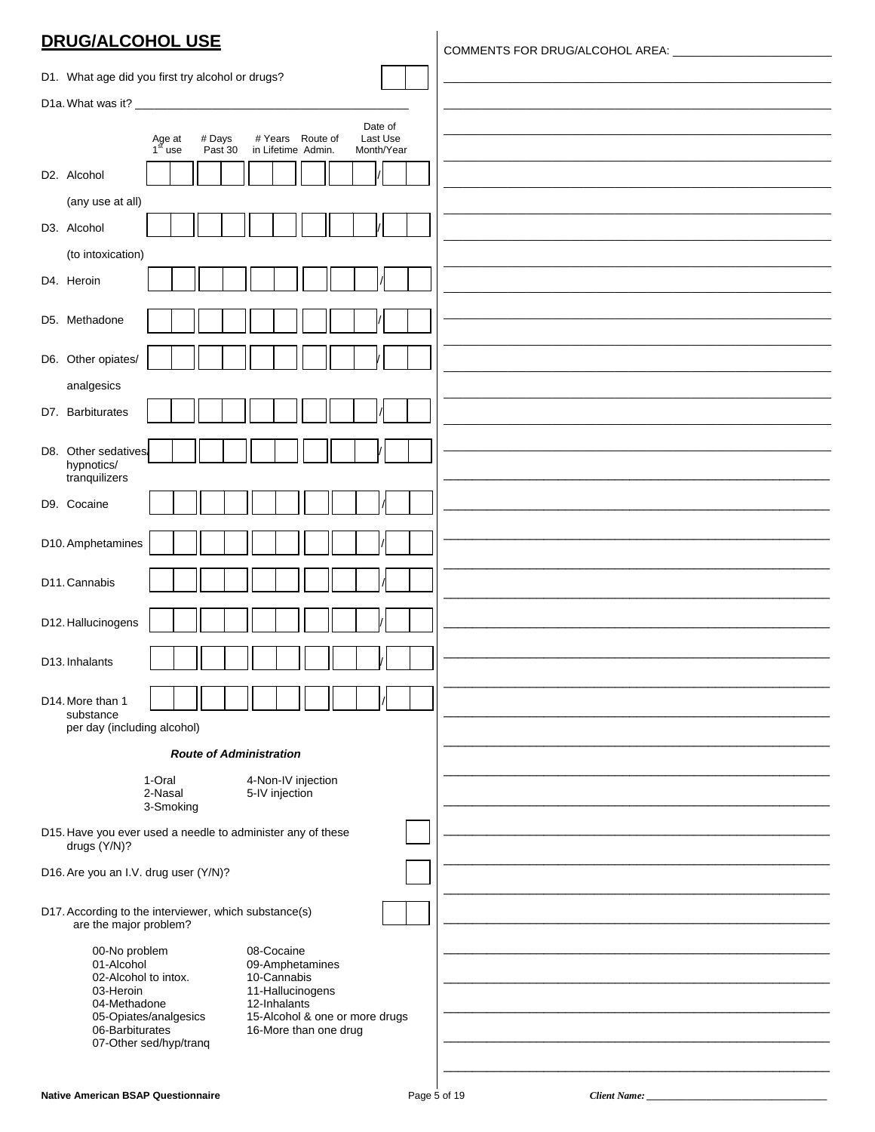### **DRUG/ALCOHOL USE**

|                                                                                                                                        | D1. What age did you first try alcohol or drugs?      |                                                             |                     |  |
|----------------------------------------------------------------------------------------------------------------------------------------|-------------------------------------------------------|-------------------------------------------------------------|---------------------|--|
|                                                                                                                                        |                                                       |                                                             |                     |  |
|                                                                                                                                        | # Days                                                | # Years Route of                                            | Date of<br>Last Use |  |
|                                                                                                                                        | Age at<br>1 <sup>st</sup> use<br>Past 30              | in Lifetime Admin.                                          | Month/Year          |  |
| D2. Alcohol                                                                                                                            |                                                       |                                                             |                     |  |
| (any use at all)                                                                                                                       |                                                       |                                                             |                     |  |
| D3. Alcohol                                                                                                                            |                                                       |                                                             |                     |  |
| (to intoxication)                                                                                                                      |                                                       |                                                             |                     |  |
| D4. Heroin                                                                                                                             |                                                       |                                                             |                     |  |
| D5. Methadone                                                                                                                          |                                                       |                                                             |                     |  |
|                                                                                                                                        |                                                       |                                                             |                     |  |
| D6. Other opiates/                                                                                                                     |                                                       |                                                             |                     |  |
| analgesics                                                                                                                             |                                                       |                                                             |                     |  |
| D7. Barbiturates                                                                                                                       |                                                       |                                                             |                     |  |
| D8. Other sedatives                                                                                                                    |                                                       |                                                             |                     |  |
| hypnotics/<br>tranquilizers                                                                                                            |                                                       |                                                             |                     |  |
| D9. Cocaine                                                                                                                            |                                                       |                                                             |                     |  |
|                                                                                                                                        |                                                       |                                                             |                     |  |
| D10. Amphetamines                                                                                                                      |                                                       |                                                             |                     |  |
|                                                                                                                                        |                                                       |                                                             |                     |  |
| D11. Cannabis                                                                                                                          |                                                       |                                                             |                     |  |
| D12. Hallucinogens                                                                                                                     |                                                       |                                                             |                     |  |
|                                                                                                                                        |                                                       |                                                             |                     |  |
| D13. Inhalants                                                                                                                         |                                                       |                                                             |                     |  |
| D14. More than 1                                                                                                                       |                                                       |                                                             |                     |  |
| substance<br>per day (including alcohol)                                                                                               |                                                       |                                                             |                     |  |
|                                                                                                                                        | <b>Route of Administration</b>                        |                                                             |                     |  |
|                                                                                                                                        | 1-Oral                                                | 4-Non-IV injection                                          |                     |  |
|                                                                                                                                        | 2-Nasal<br>3-Smoking                                  | 5-IV injection                                              |                     |  |
|                                                                                                                                        |                                                       | D15. Have you ever used a needle to administer any of these |                     |  |
| drugs (Y/N)?                                                                                                                           |                                                       |                                                             |                     |  |
| D16. Are you an I.V. drug user (Y/N)?                                                                                                  |                                                       |                                                             |                     |  |
|                                                                                                                                        | D17. According to the interviewer, which substance(s) |                                                             |                     |  |
| are the major problem?                                                                                                                 |                                                       |                                                             |                     |  |
| 08-Cocaine<br>00-No problem                                                                                                            |                                                       |                                                             |                     |  |
| 10-Cannabis<br>02-Alcohol to intox.<br>03-Heroin                                                                                       |                                                       |                                                             |                     |  |
| 12-Inhalants<br>04-Methadone                                                                                                           |                                                       |                                                             |                     |  |
| 06-Barbiturates<br>16-More than one drug                                                                                               |                                                       |                                                             |                     |  |
|                                                                                                                                        |                                                       |                                                             |                     |  |
| 01-Alcohol<br>09-Amphetamines<br>11-Hallucinogens<br>15-Alcohol & one or more drugs<br>05-Opiates/analgesics<br>07-Other sed/hyp/tranq |                                                       |                                                             |                     |  |

Client Name: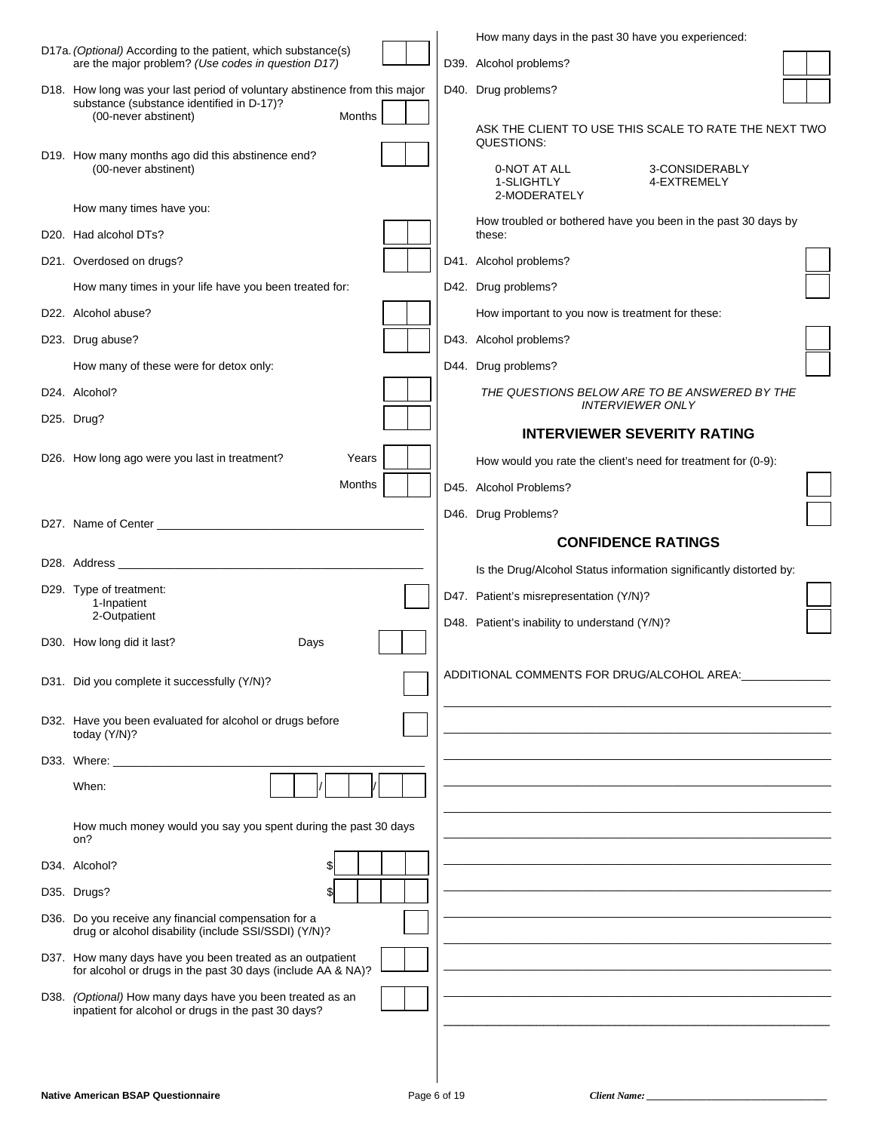|                                                                                                                          |        |  | How many days in the past 30 have you experienced:                                                    |  |
|--------------------------------------------------------------------------------------------------------------------------|--------|--|-------------------------------------------------------------------------------------------------------|--|
| D17a. (Optional) According to the patient, which substance(s)<br>are the major problem? (Use codes in question D17)      |        |  | D39. Alcohol problems?                                                                                |  |
| D18. How long was your last period of voluntary abstinence from this major<br>substance (substance identified in D-17)?  |        |  | D40. Drug problems?                                                                                   |  |
| (00-never abstinent)<br>D19. How many months ago did this abstinence end?<br>(00-never abstinent)                        | Months |  | ASK THE CLIENT TO USE THIS SCALE TO RATE THE NEXT TWO<br>QUESTIONS:<br>0-NOT AT ALL<br>3-CONSIDERABLY |  |
|                                                                                                                          |        |  | 1-SLIGHTLY<br>4-EXTREMELY<br>2-MODERATELY                                                             |  |
| How many times have you:                                                                                                 |        |  | How troubled or bothered have you been in the past 30 days by                                         |  |
| D20. Had alcohol DTs?<br>D21. Overdosed on drugs?                                                                        |        |  | these:<br>D41. Alcohol problems?                                                                      |  |
| How many times in your life have you been treated for:                                                                   |        |  | D42. Drug problems?                                                                                   |  |
| D22. Alcohol abuse?                                                                                                      |        |  | How important to you now is treatment for these:                                                      |  |
| D23. Drug abuse?                                                                                                         |        |  | D43. Alcohol problems?                                                                                |  |
| How many of these were for detox only:                                                                                   |        |  | D44. Drug problems?                                                                                   |  |
| D24. Alcohol?                                                                                                            |        |  | THE QUESTIONS BELOW ARE TO BE ANSWERED BY THE                                                         |  |
| D25. Drug?                                                                                                               |        |  | <b>INTERVIEWER ONLY</b>                                                                               |  |
|                                                                                                                          |        |  | <b>INTERVIEWER SEVERITY RATING</b>                                                                    |  |
| D26. How long ago were you last in treatment?                                                                            | Years  |  | How would you rate the client's need for treatment for (0-9):                                         |  |
|                                                                                                                          | Months |  | D45. Alcohol Problems?                                                                                |  |
|                                                                                                                          |        |  | D46. Drug Problems?                                                                                   |  |
|                                                                                                                          |        |  |                                                                                                       |  |
|                                                                                                                          |        |  | <b>CONFIDENCE RATINGS</b>                                                                             |  |
|                                                                                                                          |        |  | Is the Drug/Alcohol Status information significantly distorted by:                                    |  |
| D29. Type of treatment:<br>1-Inpatient                                                                                   |        |  | D47. Patient's misrepresentation (Y/N)?                                                               |  |
| 2-Outpatient                                                                                                             |        |  | D48. Patient's inability to understand (Y/N)?                                                         |  |
| D30. How long did it last?<br>Days                                                                                       |        |  |                                                                                                       |  |
| D31. Did you complete it successfully (Y/N)?                                                                             |        |  | ADDITIONAL COMMENTS FOR DRUG/ALCOHOL AREA: ______________                                             |  |
| D32. Have you been evaluated for alcohol or drugs before<br>today (Y/N)?                                                 |        |  |                                                                                                       |  |
|                                                                                                                          |        |  |                                                                                                       |  |
| When:                                                                                                                    |        |  |                                                                                                       |  |
| How much money would you say you spent during the past 30 days<br>on?                                                    |        |  |                                                                                                       |  |
| D34. Alcohol?                                                                                                            |        |  |                                                                                                       |  |
| D35. Drugs?<br>\$l                                                                                                       |        |  |                                                                                                       |  |
| D36. Do you receive any financial compensation for a<br>drug or alcohol disability (include SSI/SSDI) (Y/N)?             |        |  |                                                                                                       |  |
| D37. How many days have you been treated as an outpatient<br>for alcohol or drugs in the past 30 days (include AA & NA)? |        |  |                                                                                                       |  |
| D38. (Optional) How many days have you been treated as an<br>inpatient for alcohol or drugs in the past 30 days?         |        |  |                                                                                                       |  |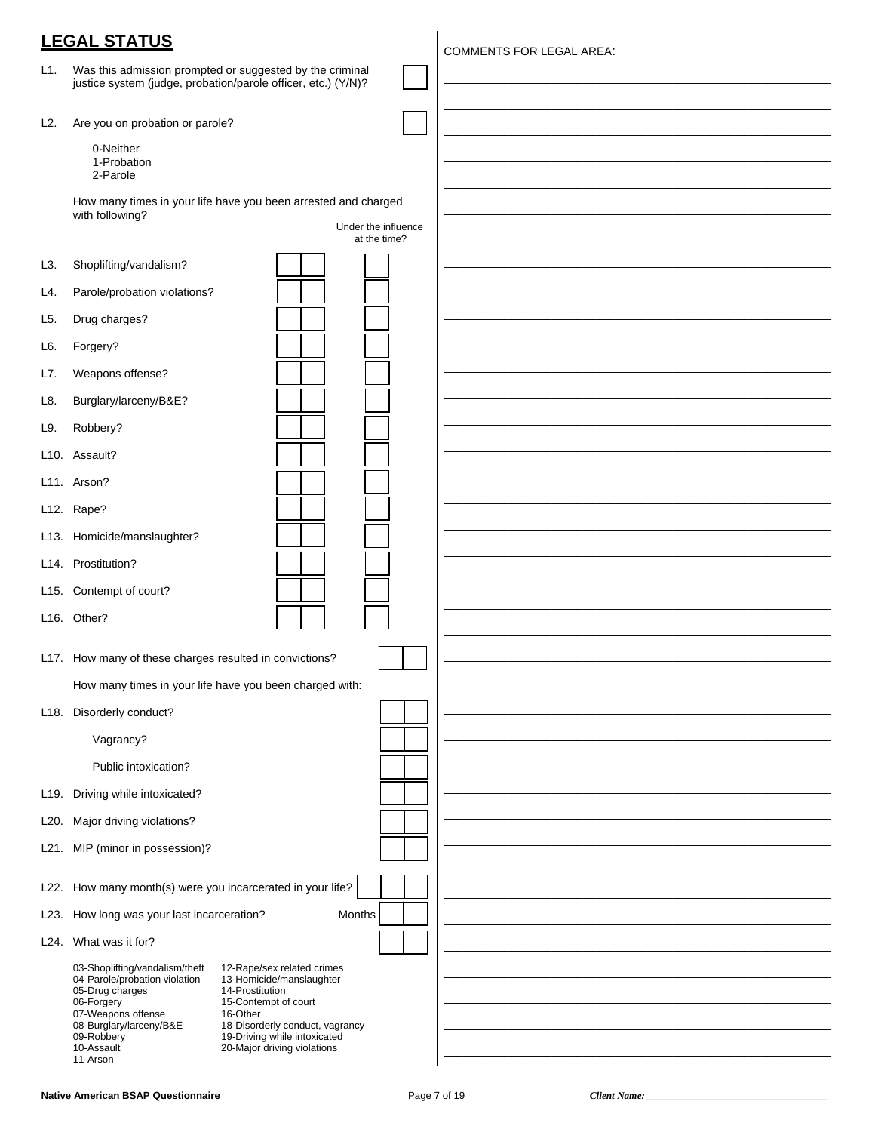|                 | <b>LEGAL STATUS</b>                                                                                                                                                                                                                                                                                                                                                                                          |  |
|-----------------|--------------------------------------------------------------------------------------------------------------------------------------------------------------------------------------------------------------------------------------------------------------------------------------------------------------------------------------------------------------------------------------------------------------|--|
| L1.             | Was this admission prompted or suggested by the criminal<br>justice system (judge, probation/parole officer, etc.) (Y/N)?                                                                                                                                                                                                                                                                                    |  |
| L <sub>2</sub>  | Are you on probation or parole?                                                                                                                                                                                                                                                                                                                                                                              |  |
|                 | 0-Neither<br>1-Probation<br>2-Parole                                                                                                                                                                                                                                                                                                                                                                         |  |
|                 | How many times in your life have you been arrested and charged                                                                                                                                                                                                                                                                                                                                               |  |
|                 | with following?<br>Under the influence<br>at the time?                                                                                                                                                                                                                                                                                                                                                       |  |
| L3.             | Shoplifting/vandalism?                                                                                                                                                                                                                                                                                                                                                                                       |  |
| L4.             | Parole/probation violations?                                                                                                                                                                                                                                                                                                                                                                                 |  |
| L5.             | Drug charges?                                                                                                                                                                                                                                                                                                                                                                                                |  |
| L6.             | Forgery?                                                                                                                                                                                                                                                                                                                                                                                                     |  |
| L7.             | Weapons offense?                                                                                                                                                                                                                                                                                                                                                                                             |  |
| L8.             | Burglary/larceny/B&E?                                                                                                                                                                                                                                                                                                                                                                                        |  |
| L9.             | Robbery?                                                                                                                                                                                                                                                                                                                                                                                                     |  |
|                 | L10. Assault?                                                                                                                                                                                                                                                                                                                                                                                                |  |
|                 | L11. Arson?                                                                                                                                                                                                                                                                                                                                                                                                  |  |
|                 | L12. Rape?                                                                                                                                                                                                                                                                                                                                                                                                   |  |
|                 | L13. Homicide/manslaughter?                                                                                                                                                                                                                                                                                                                                                                                  |  |
|                 | L14. Prostitution?                                                                                                                                                                                                                                                                                                                                                                                           |  |
| L15.            | Contempt of court?                                                                                                                                                                                                                                                                                                                                                                                           |  |
|                 | L16. Other?                                                                                                                                                                                                                                                                                                                                                                                                  |  |
|                 | L17. How many of these charges resulted in convictions?                                                                                                                                                                                                                                                                                                                                                      |  |
|                 | How many times in your life have you been charged with:                                                                                                                                                                                                                                                                                                                                                      |  |
|                 | L18. Disorderly conduct?                                                                                                                                                                                                                                                                                                                                                                                     |  |
|                 | Vagrancy?                                                                                                                                                                                                                                                                                                                                                                                                    |  |
|                 | Public intoxication?                                                                                                                                                                                                                                                                                                                                                                                         |  |
|                 | L19. Driving while intoxicated?                                                                                                                                                                                                                                                                                                                                                                              |  |
| L <sub>20</sub> | Major driving violations?                                                                                                                                                                                                                                                                                                                                                                                    |  |
| L21.            | MIP (minor in possession)?                                                                                                                                                                                                                                                                                                                                                                                   |  |
|                 | L22. How many month(s) were you incarcerated in your life?                                                                                                                                                                                                                                                                                                                                                   |  |
| L23.            | How long was your last incarceration?<br>Months                                                                                                                                                                                                                                                                                                                                                              |  |
| L24.            | What was it for?                                                                                                                                                                                                                                                                                                                                                                                             |  |
|                 | 03-Shoplifting/vandalism/theft<br>12-Rape/sex related crimes<br>04-Parole/probation violation<br>13-Homicide/manslaughter<br>05-Drug charges<br>14-Prostitution<br>06-Forgery<br>15-Contempt of court<br>07-Weapons offense<br>16-Other<br>08-Burglary/larceny/B&E<br>18-Disorderly conduct, vagrancy<br>19-Driving while intoxicated<br>09-Robbery<br>10-Assault<br>20-Major driving violations<br>11-Arson |  |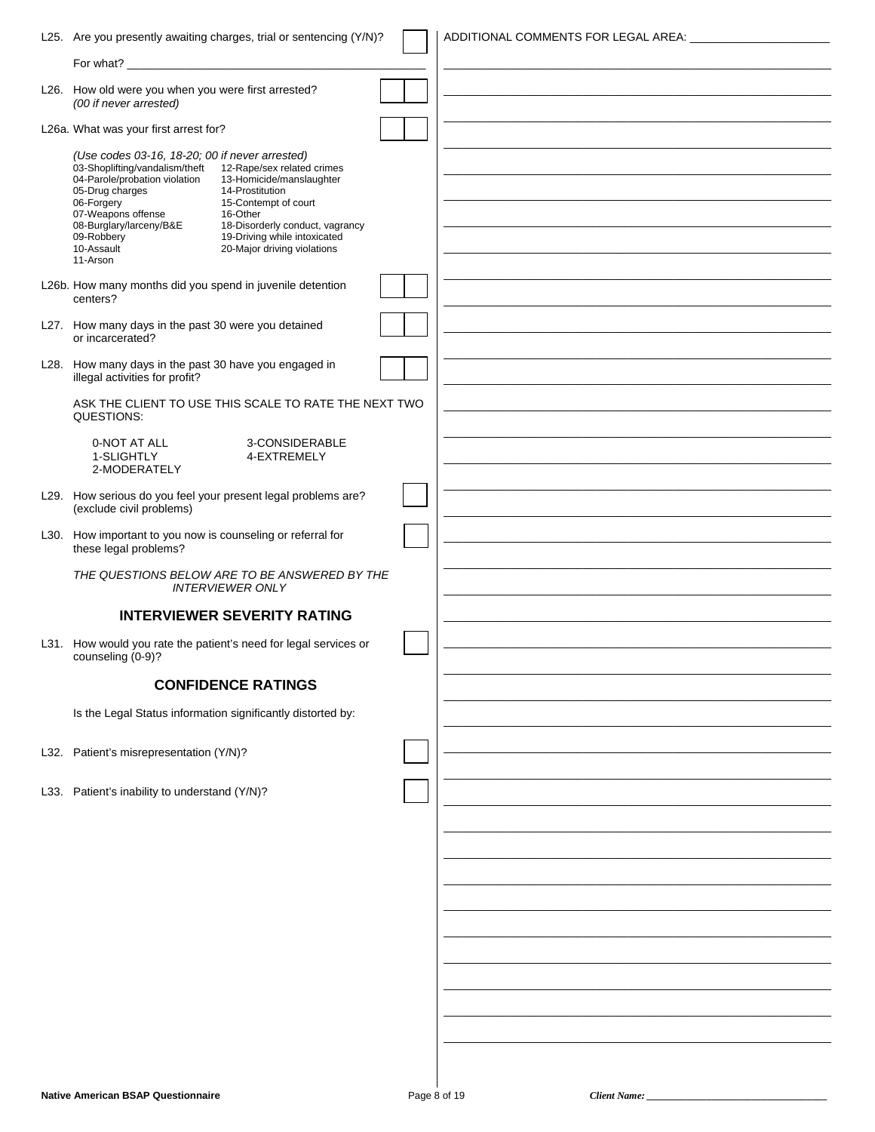| L25. Are you presently awaiting charges, trial or sentencing (Y/N)?                                                                                                                                                                                                                                                                                                                                                                                            |              | ADDITIONAL COMMENTS FOR LEGAL AREA: |                   |
|----------------------------------------------------------------------------------------------------------------------------------------------------------------------------------------------------------------------------------------------------------------------------------------------------------------------------------------------------------------------------------------------------------------------------------------------------------------|--------------|-------------------------------------|-------------------|
|                                                                                                                                                                                                                                                                                                                                                                                                                                                                |              |                                     |                   |
| L26. How old were you when you were first arrested?<br>(00 if never arrested)                                                                                                                                                                                                                                                                                                                                                                                  |              |                                     |                   |
| L26a. What was your first arrest for?                                                                                                                                                                                                                                                                                                                                                                                                                          |              |                                     |                   |
| (Use codes 03-16, 18-20; 00 if never arrested)<br>03-Shoplifting/vandalism/theft<br>12-Rape/sex related crimes<br>04-Parole/probation violation<br>13-Homicide/manslaughter<br>05-Drug charges<br>14-Prostitution<br>06-Forgery<br>15-Contempt of court<br>07-Weapons offense<br>16-Other<br>08-Burglary/larceny/B&E<br>18-Disorderly conduct, vagrancy<br>09-Robbery<br>19-Driving while intoxicated<br>10-Assault<br>20-Major driving violations<br>11-Arson |              |                                     |                   |
| L26b. How many months did you spend in juvenile detention<br>centers?                                                                                                                                                                                                                                                                                                                                                                                          |              |                                     |                   |
| L27. How many days in the past 30 were you detained<br>or incarcerated?                                                                                                                                                                                                                                                                                                                                                                                        |              |                                     |                   |
| L28. How many days in the past 30 have you engaged in<br>illegal activities for profit?                                                                                                                                                                                                                                                                                                                                                                        |              |                                     |                   |
| ASK THE CLIENT TO USE THIS SCALE TO RATE THE NEXT TWO<br>QUESTIONS:                                                                                                                                                                                                                                                                                                                                                                                            |              |                                     |                   |
| 3-CONSIDERABLE<br>0-NOT AT ALL<br>1-SLIGHTLY<br>4-EXTREMELY<br>2-MODERATELY                                                                                                                                                                                                                                                                                                                                                                                    |              |                                     |                   |
| L29. How serious do you feel your present legal problems are?<br>(exclude civil problems)                                                                                                                                                                                                                                                                                                                                                                      |              |                                     |                   |
| L30. How important to you now is counseling or referral for<br>these legal problems?                                                                                                                                                                                                                                                                                                                                                                           |              |                                     |                   |
| THE QUESTIONS BELOW ARE TO BE ANSWERED BY THE<br><b>INTERVIEWER ONLY</b>                                                                                                                                                                                                                                                                                                                                                                                       |              |                                     |                   |
| <b>INTERVIEWER SEVERITY RATING</b>                                                                                                                                                                                                                                                                                                                                                                                                                             |              |                                     |                   |
| L31. How would you rate the patient's need for legal services or<br>counseling (0-9)?                                                                                                                                                                                                                                                                                                                                                                          |              |                                     |                   |
| <b>CONFIDENCE RATINGS</b>                                                                                                                                                                                                                                                                                                                                                                                                                                      |              |                                     |                   |
| Is the Legal Status information significantly distorted by:                                                                                                                                                                                                                                                                                                                                                                                                    |              |                                     |                   |
| L32. Patient's misrepresentation (Y/N)?                                                                                                                                                                                                                                                                                                                                                                                                                        |              |                                     |                   |
| L33. Patient's inability to understand (Y/N)?                                                                                                                                                                                                                                                                                                                                                                                                                  |              |                                     |                   |
|                                                                                                                                                                                                                                                                                                                                                                                                                                                                |              |                                     |                   |
|                                                                                                                                                                                                                                                                                                                                                                                                                                                                |              |                                     |                   |
|                                                                                                                                                                                                                                                                                                                                                                                                                                                                |              |                                     |                   |
|                                                                                                                                                                                                                                                                                                                                                                                                                                                                |              |                                     |                   |
|                                                                                                                                                                                                                                                                                                                                                                                                                                                                |              |                                     |                   |
|                                                                                                                                                                                                                                                                                                                                                                                                                                                                |              |                                     |                   |
|                                                                                                                                                                                                                                                                                                                                                                                                                                                                |              |                                     |                   |
|                                                                                                                                                                                                                                                                                                                                                                                                                                                                |              |                                     |                   |
|                                                                                                                                                                                                                                                                                                                                                                                                                                                                |              |                                     |                   |
|                                                                                                                                                                                                                                                                                                                                                                                                                                                                |              |                                     |                   |
| <b>Native American BSAP Questionnaire</b>                                                                                                                                                                                                                                                                                                                                                                                                                      | Page 8 of 19 |                                     | Client Name: ____ |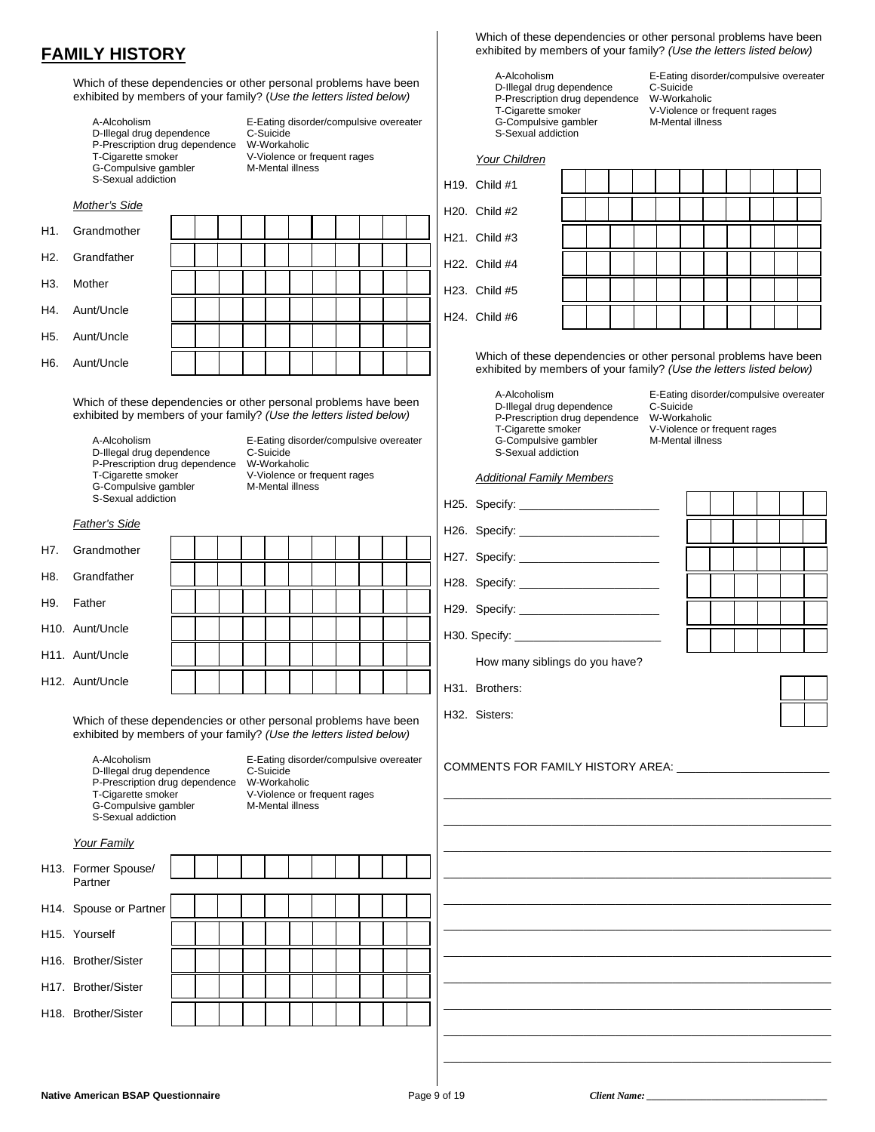### **FAMILY HISTORY**

Which of these dependencies or other personal problems have been exhibited by members of your family? (*Use the letters listed below)*

| A-Alcoholism                   |   |
|--------------------------------|---|
| D-Illegal drug dependence      |   |
| P-Prescription drug dependence | V |
| T-Cigarette smoker             |   |
| G-Compulsive gambler           | N |
| S-Sexual addiction             |   |
|                                |   |

E-Eating disorder/compulsive overeater p<br>C-Suicide **N-Workaholic** Tractions<br>T-Violence or frequent rages .<br>M-Mental illness

|                  | Mother's Side                                                    |  |  |  |  |  |  |
|------------------|------------------------------------------------------------------|--|--|--|--|--|--|
| H <sub>1</sub>   | Grandmother                                                      |  |  |  |  |  |  |
| H2.              | Grandfather                                                      |  |  |  |  |  |  |
| H <sub>3</sub> . | Mother                                                           |  |  |  |  |  |  |
| H4.              | Aunt/Uncle                                                       |  |  |  |  |  |  |
| H <sub>5</sub> . | Aunt/Uncle                                                       |  |  |  |  |  |  |
| H <sub>6</sub> . | Aunt/Uncle                                                       |  |  |  |  |  |  |
|                  | Which of these dependencies or other personal problems have been |  |  |  |  |  |  |

exhibited by members of your family? *(Use the letters listed below)*

D-Illegal drug dependence C-Suicide<br>P-Prescription drug dependence W-Workaholic P-Prescription drug dependence T-Cigarette smoker V-Violence or frequent rages<br>G-Compulsive gambler M-Mental illness G-Compulsive gambler S-Sexual addiction

A-Alcoholism **E-Eating disorder/compulsive overeater**<br>D-Illegal drug dependence C-Suicide

#### *Father's Side*

| H7. Grandmother |  |  |  |  |  |  |
|-----------------|--|--|--|--|--|--|
| H8. Grandfather |  |  |  |  |  |  |
| H9. Father      |  |  |  |  |  |  |
| H10. Aunt/Uncle |  |  |  |  |  |  |
| H11. Aunt/Uncle |  |  |  |  |  |  |
| H12. Aunt/Uncle |  |  |  |  |  |  |

 Which of these dependencies or other personal problems have been exhibited by members of your family? *(Use the letters listed below)*

 A-Alcoholism E-Eating disorder/compulsive overeater D-Illegal drug dependence C-Suicide P-Prescription drug dependence W-Workaholic T-Cigarette smoker V-Violence or frequent rages<br>G-Compulsive gambler M-Mental illness G-Compulsive gambler S-Sexual addiction

|--|

| H13. Former Spouse/<br>Partner |  |  |  |  |  |  |  |
|--------------------------------|--|--|--|--|--|--|--|
| H14. Spouse or Partner         |  |  |  |  |  |  |  |
| H <sub>15</sub> . Yourself     |  |  |  |  |  |  |  |
| H16. Brother/Sister            |  |  |  |  |  |  |  |
| H17. Brother/Sister            |  |  |  |  |  |  |  |
| H18. Brother/Sister            |  |  |  |  |  |  |  |
|                                |  |  |  |  |  |  |  |

 Which of these dependencies or other personal problems have been exhibited by members of your family? *(Use the letters listed below)*

D-Illegal drug dependence C-Suicide<br>P-Prescription drug dependence W-Workaholic P-Prescription drug dependence<br>T-Cigarette smoker G-Compulsive gambler S-Sexual addiction

A-Alcoholism **E-Eating disorder/compulsive overeater**<br>
D-Illegal drug dependence C-Suicide

V-Violence or frequent rages<br>M-Mental illness

*Your Children*

| H <sub>19</sub> . Child #1 |  |  |  |  |  |  |
|----------------------------|--|--|--|--|--|--|
| H <sub>20</sub> . Child #2 |  |  |  |  |  |  |
| H <sub>21</sub> . Child #3 |  |  |  |  |  |  |
| H22. Child #4              |  |  |  |  |  |  |
| H <sub>23</sub> . Child #5 |  |  |  |  |  |  |
| H <sub>24</sub> . Child #6 |  |  |  |  |  |  |

 Which of these dependencies or other personal problems have been exhibited by members of your family? *(Use the letters listed below)*

A-Alcoholism **E-Eating disorder/compulsive overeater**<br>
D-Illegal drug dependence C-Suicide D-Illegal drug dependence C-Suicide<br>P-Prescription drug dependence W-Workaholic P-Prescription drug dependence T-Cigarette smoker **T-Violence or frequent rages**<br>G-Compulsive gambler **M-Mental illness** G-Compulsive gambler S-Sexual addiction

#### *Additional Family Members*

H25. Specify:  $\_$ H26. Specify:  $\overline{\phantom{a}}$ 

|  | H27. Specify: ______________  |
|--|-------------------------------|
|  | H28. Specify: _______________ |

H29. Specify:

H30. Specify:  $\_$ 

How many siblings do you have?

H31. Brothers:

H32. Sisters:

COMMENTS FOR FAMILY HISTORY AREA:

| ┑ |            |
|---|------------|
|   |            |
|   |            |
|   |            |
|   |            |
|   |            |
| i |            |
|   |            |
| Ī |            |
|   |            |
|   |            |
| i |            |
|   |            |
| Ī |            |
|   |            |
|   |            |
|   |            |
|   |            |
|   | __________ |

| —— | the contract of the con-        |                          |                                 | $\sim$ |
|----|---------------------------------|--------------------------|---------------------------------|--------|
|    |                                 | <b>Contract Contract</b> |                                 |        |
| __ | ___<br>$\overline{\phantom{a}}$ | ____                     | ___<br>the contract of the con- |        |
|    |                                 |                          |                                 |        |
|    |                                 |                          |                                 |        |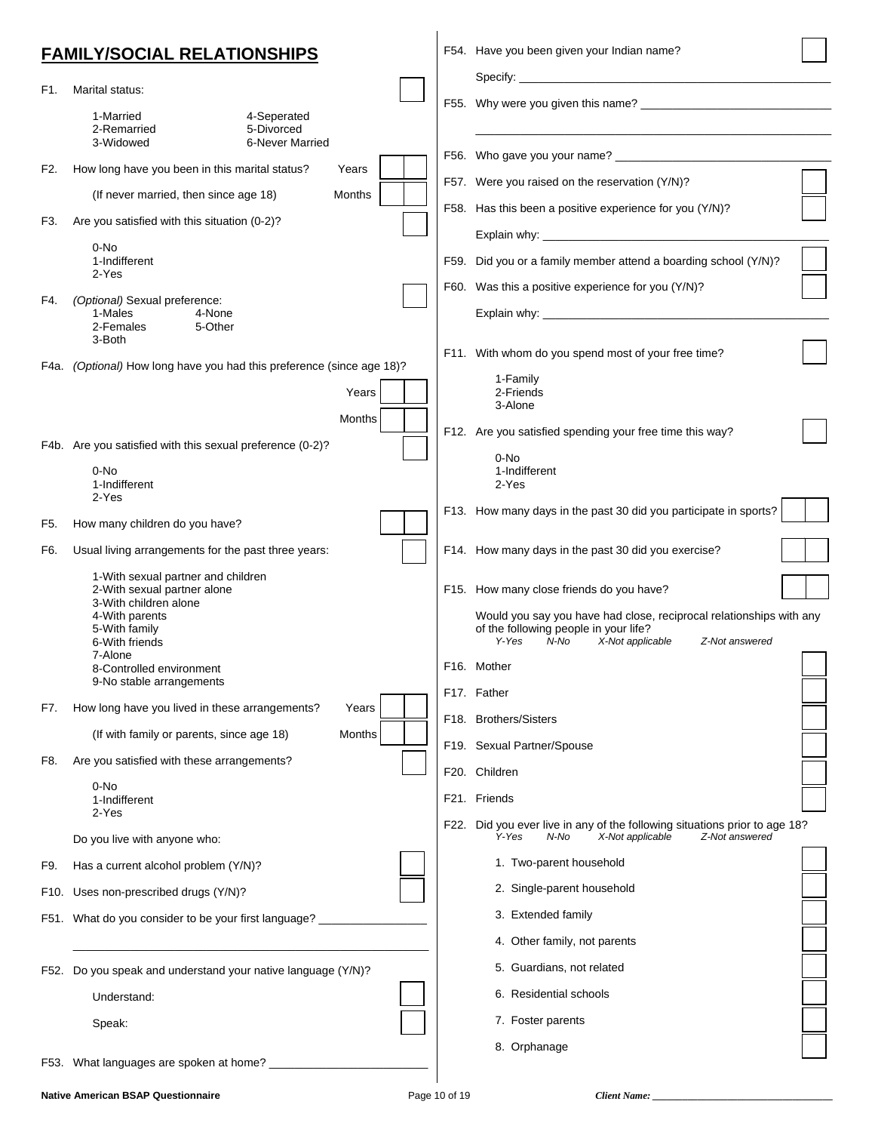|      | <b>FAMILY/SOCIAL RELATIONSHIPS</b>                                                                                                                                                     |        | F54. Have you been given your Indian name?                                                                                                                                                                                     |  |
|------|----------------------------------------------------------------------------------------------------------------------------------------------------------------------------------------|--------|--------------------------------------------------------------------------------------------------------------------------------------------------------------------------------------------------------------------------------|--|
| F1.  | Marital status:                                                                                                                                                                        |        |                                                                                                                                                                                                                                |  |
|      | 1-Married<br>4-Seperated<br>2-Remarried<br>5-Divorced<br>3-Widowed<br><b>6-Never Married</b>                                                                                           |        |                                                                                                                                                                                                                                |  |
|      |                                                                                                                                                                                        |        |                                                                                                                                                                                                                                |  |
| F2.  | How long have you been in this marital status?                                                                                                                                         | Years  | F57. Were you raised on the reservation (Y/N)?                                                                                                                                                                                 |  |
|      | (If never married, then since age 18)                                                                                                                                                  | Months | F58. Has this been a positive experience for you (Y/N)?                                                                                                                                                                        |  |
| F3.  | Are you satisfied with this situation (0-2)?                                                                                                                                           |        |                                                                                                                                                                                                                                |  |
|      | 0-No<br>1-Indifferent                                                                                                                                                                  |        | F59. Did you or a family member attend a boarding school (Y/N)?                                                                                                                                                                |  |
|      | 2-Yes                                                                                                                                                                                  |        | F60. Was this a positive experience for you (Y/N)?                                                                                                                                                                             |  |
| F4.  | (Optional) Sexual preference:<br>1-Males<br>4-None<br>2-Females<br>5-Other<br>3-Both                                                                                                   |        |                                                                                                                                                                                                                                |  |
|      | F4a. (Optional) How long have you had this preference (since age 18)?                                                                                                                  |        | F11. With whom do you spend most of your free time?                                                                                                                                                                            |  |
|      |                                                                                                                                                                                        | Years  | 1-Family<br>2-Friends<br>3-Alone                                                                                                                                                                                               |  |
|      |                                                                                                                                                                                        | Months | F12. Are you satisfied spending your free time this way?                                                                                                                                                                       |  |
|      | F4b. Are you satisfied with this sexual preference (0-2)?<br>0-No<br>1-Indifferent<br>2-Yes                                                                                            |        | 0-No<br>1-Indifferent<br>2-Yes                                                                                                                                                                                                 |  |
| F5.  | How many children do you have?                                                                                                                                                         |        | F13. How many days in the past 30 did you participate in sports?                                                                                                                                                               |  |
| F6.  | Usual living arrangements for the past three years:                                                                                                                                    |        | F14. How many days in the past 30 did you exercise?                                                                                                                                                                            |  |
|      | 1-With sexual partner and children<br>2-With sexual partner alone<br>3-With children alone<br>4-With parents<br>5-With family<br>6-With friends<br>7-Alone<br>8-Controlled environment |        | F15. How many close friends do you have?<br>Would you say you have had close, reciprocal relationships with any<br>of the following people in your life?<br>X-Not applicable<br>Y-Yes<br>N-No<br>Z-Not answered<br>F16. Mother |  |
|      | 9-No stable arrangements                                                                                                                                                               |        | F17. Father                                                                                                                                                                                                                    |  |
| F7.  | How long have you lived in these arrangements?                                                                                                                                         | Years  | F18. Brothers/Sisters                                                                                                                                                                                                          |  |
|      | (If with family or parents, since age 18)                                                                                                                                              | Months | F19. Sexual Partner/Spouse                                                                                                                                                                                                     |  |
| F8.  | Are you satisfied with these arrangements?                                                                                                                                             |        | F20. Children                                                                                                                                                                                                                  |  |
|      | 0-No<br>1-Indifferent                                                                                                                                                                  |        | F21. Friends                                                                                                                                                                                                                   |  |
|      | 2-Yes<br>Do you live with anyone who:                                                                                                                                                  |        | F22. Did you ever live in any of the following situations prior to age 18?<br>Y-Yes<br>N-No<br>X-Not applicable<br>Z-Not answered                                                                                              |  |
| F9.  | Has a current alcohol problem (Y/N)?                                                                                                                                                   |        | 1. Two-parent household                                                                                                                                                                                                        |  |
| F10. | Uses non-prescribed drugs (Y/N)?                                                                                                                                                       |        | 2. Single-parent household                                                                                                                                                                                                     |  |
| F51. | What do you consider to be your first language?                                                                                                                                        |        | 3. Extended family                                                                                                                                                                                                             |  |
|      |                                                                                                                                                                                        |        | 4. Other family, not parents                                                                                                                                                                                                   |  |
|      | F52. Do you speak and understand your native language (Y/N)?                                                                                                                           |        | 5. Guardians, not related                                                                                                                                                                                                      |  |
|      | Understand:                                                                                                                                                                            |        | 6. Residential schools                                                                                                                                                                                                         |  |
|      | Speak:                                                                                                                                                                                 |        | 7. Foster parents                                                                                                                                                                                                              |  |
| F53. | What languages are spoken at home? ______________                                                                                                                                      |        | 8. Orphanage                                                                                                                                                                                                                   |  |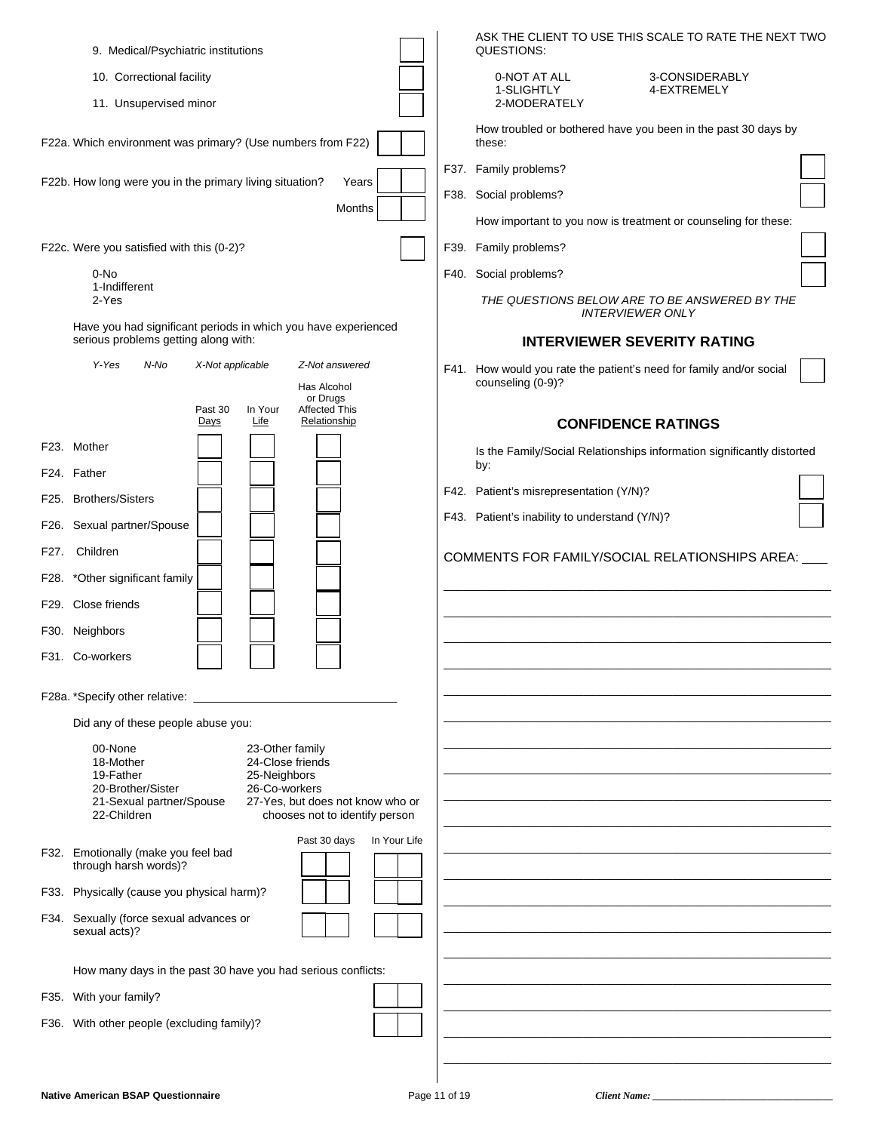| 9. Medical/Psychiatric institutions                                                                                                                                                                                                             | ASK THE CLIENT TO USE THIS SCALE TO RATE THE NEXT TWO<br>QUESTIONS:                      |
|-------------------------------------------------------------------------------------------------------------------------------------------------------------------------------------------------------------------------------------------------|------------------------------------------------------------------------------------------|
| 10. Correctional facility                                                                                                                                                                                                                       | 0-NOT AT ALL<br>3-CONSIDERABLY                                                           |
| 11. Unsupervised minor                                                                                                                                                                                                                          | 1-SLIGHTLY<br>4-EXTREMELY<br>2-MODERATELY                                                |
| F22a. Which environment was primary? (Use numbers from F22)                                                                                                                                                                                     | How troubled or bothered have you been in the past 30 days by<br>these:                  |
| F22b. How long were you in the primary living situation?<br>Years                                                                                                                                                                               | F37. Family problems?                                                                    |
| Months                                                                                                                                                                                                                                          | F38. Social problems?                                                                    |
|                                                                                                                                                                                                                                                 | How important to you now is treatment or counseling for these:                           |
| F22c. Were you satisfied with this (0-2)?                                                                                                                                                                                                       | F39. Family problems?                                                                    |
| 0-No<br>1-Indifferent                                                                                                                                                                                                                           | F40. Social problems?                                                                    |
| 2-Yes<br>Have you had significant periods in which you have experienced                                                                                                                                                                         | THE QUESTIONS BELOW ARE TO BE ANSWERED BY THE<br><b>INTERVIEWER ONLY</b>                 |
| serious problems getting along with:                                                                                                                                                                                                            | <b>INTERVIEWER SEVERITY RATING</b>                                                       |
| Y-Yes<br>N-No<br>X-Not applicable<br>Z-Not answered<br>Has Alcohol                                                                                                                                                                              | F41. How would you rate the patient's need for family and/or social<br>counseling (0-9)? |
| or Drugs<br>In Your<br><b>Affected This</b><br>Past 30<br>Life<br>Relationship<br>Days                                                                                                                                                          | <b>CONFIDENCE RATINGS</b>                                                                |
| F23. Mother                                                                                                                                                                                                                                     | Is the Family/Social Relationships information significantly distorted<br>by:            |
| F24. Father                                                                                                                                                                                                                                     | F42. Patient's misrepresentation (Y/N)?                                                  |
| F25. Brothers/Sisters                                                                                                                                                                                                                           | F43. Patient's inability to understand (Y/N)?                                            |
| F26. Sexual partner/Spouse                                                                                                                                                                                                                      |                                                                                          |
| Children<br>F27.                                                                                                                                                                                                                                | COMMENTS FOR FAMILY/SOCIAL RELATIONSHIPS AREA:                                           |
| F28. * Other significant family                                                                                                                                                                                                                 |                                                                                          |
| F29. Close friends                                                                                                                                                                                                                              |                                                                                          |
| F30. Neighbors                                                                                                                                                                                                                                  |                                                                                          |
| F31. Co-workers                                                                                                                                                                                                                                 |                                                                                          |
| F28a. *Specify other relative:                                                                                                                                                                                                                  |                                                                                          |
| Did any of these people abuse you:                                                                                                                                                                                                              |                                                                                          |
| 00-None<br>23-Other family<br>24-Close friends<br>18-Mother<br>19-Father<br>25-Neighbors<br>20-Brother/Sister<br>26-Co-workers<br>27-Yes, but does not know who or<br>21-Sexual partner/Spouse<br>22-Children<br>chooses not to identify person |                                                                                          |
| Past 30 days<br>In Your Life                                                                                                                                                                                                                    |                                                                                          |
| F32. Emotionally (make you feel bad<br>through harsh words)?                                                                                                                                                                                    |                                                                                          |
| F33. Physically (cause you physical harm)?                                                                                                                                                                                                      |                                                                                          |
| F34. Sexually (force sexual advances or<br>sexual acts)?                                                                                                                                                                                        |                                                                                          |
| How many days in the past 30 have you had serious conflicts:                                                                                                                                                                                    |                                                                                          |
| F35. With your family?                                                                                                                                                                                                                          |                                                                                          |
| F36. With other people (excluding family)?                                                                                                                                                                                                      |                                                                                          |
|                                                                                                                                                                                                                                                 |                                                                                          |
|                                                                                                                                                                                                                                                 |                                                                                          |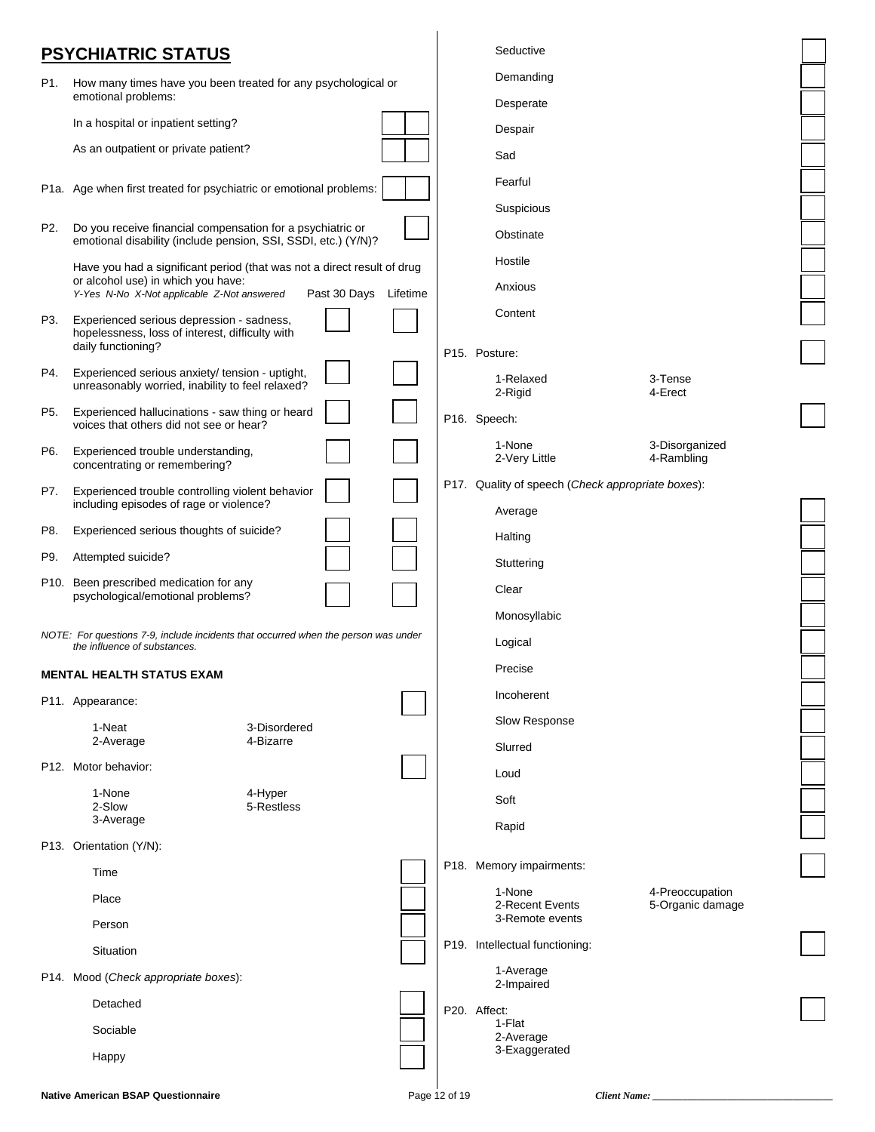### **PSYCHIATRIC STATUS**

|     | . <del>.</del>                                                                                                     |                       |               |                                                   |                                     |  |
|-----|--------------------------------------------------------------------------------------------------------------------|-----------------------|---------------|---------------------------------------------------|-------------------------------------|--|
| P1. | How many times have you been treated for any psychological or<br>emotional problems:                               |                       |               | Demanding                                         |                                     |  |
|     | In a hospital or inpatient setting?                                                                                |                       |               | Desperate                                         |                                     |  |
|     | As an outpatient or private patient?                                                                               |                       |               | Despair                                           |                                     |  |
|     |                                                                                                                    |                       |               | Sad                                               |                                     |  |
|     | P1a. Age when first treated for psychiatric or emotional problems:                                                 |                       |               | Fearful                                           |                                     |  |
| P2. | Do you receive financial compensation for a psychiatric or                                                         |                       |               | Suspicious                                        |                                     |  |
|     | emotional disability (include pension, SSI, SSDI, etc.) (Y/N)?                                                     |                       |               | Obstinate                                         |                                     |  |
|     | Have you had a significant period (that was not a direct result of drug<br>or alcohol use) in which you have:      |                       |               | Hostile                                           |                                     |  |
|     | Y-Yes N-No X-Not applicable Z-Not answered                                                                         | Past 30 Days Lifetime |               | Anxious                                           |                                     |  |
| P3. | Experienced serious depression - sadness,<br>hopelessness, loss of interest, difficulty with<br>daily functioning? |                       |               | Content                                           |                                     |  |
| P4. | Experienced serious anxiety/ tension - uptight,                                                                    |                       |               | P15. Posture:                                     |                                     |  |
|     | unreasonably worried, inability to feel relaxed?                                                                   |                       |               | 1-Relaxed<br>2-Rigid                              | 3-Tense<br>4-Erect                  |  |
| P5. | Experienced hallucinations - saw thing or heard<br>voices that others did not see or hear?                         |                       |               | P16. Speech:                                      |                                     |  |
| P6. | Experienced trouble understanding,<br>concentrating or remembering?                                                |                       |               | 1-None<br>2-Very Little                           | 3-Disorganized<br>4-Rambling        |  |
| P7. | Experienced trouble controlling violent behavior                                                                   |                       |               | P17. Quality of speech (Check appropriate boxes): |                                     |  |
|     | including episodes of rage or violence?                                                                            |                       |               | Average                                           |                                     |  |
| P8. | Experienced serious thoughts of suicide?                                                                           |                       |               | Halting                                           |                                     |  |
| P9. | Attempted suicide?                                                                                                 |                       |               | Stuttering                                        |                                     |  |
|     | P10. Been prescribed medication for any<br>psychological/emotional problems?                                       |                       |               | Clear                                             |                                     |  |
|     |                                                                                                                    |                       |               | Monosyllabic                                      |                                     |  |
|     | NOTE: For questions 7-9, include incidents that occurred when the person was under<br>the influence of substances. |                       |               | Logical                                           |                                     |  |
|     | <b>MENTAL HEALTH STATUS EXAM</b>                                                                                   |                       |               | Precise                                           |                                     |  |
|     | P11. Appearance:                                                                                                   |                       |               | Incoherent                                        |                                     |  |
|     | 1-Neat<br>3-Disordered                                                                                             |                       |               | Slow Response                                     |                                     |  |
|     | 4-Bizarre<br>2-Average                                                                                             |                       |               | Slurred                                           |                                     |  |
|     | P12. Motor behavior:                                                                                               |                       |               | Loud                                              |                                     |  |
|     | 1-None<br>4-Hyper<br>2-Slow<br>5-Restless                                                                          |                       |               | Soft                                              |                                     |  |
|     | 3-Average                                                                                                          |                       |               | Rapid                                             |                                     |  |
|     | P13. Orientation (Y/N):                                                                                            |                       |               |                                                   |                                     |  |
|     | Time                                                                                                               |                       |               | P18. Memory impairments:                          |                                     |  |
|     | Place                                                                                                              |                       |               | 1-None<br>2-Recent Events<br>3-Remote events      | 4-Preoccupation<br>5-Organic damage |  |
|     | Person                                                                                                             |                       |               | P19. Intellectual functioning:                    |                                     |  |
|     | Situation                                                                                                          |                       |               | 1-Average                                         |                                     |  |
|     | P14. Mood (Check appropriate boxes):                                                                               |                       |               | 2-Impaired                                        |                                     |  |
|     | Detached                                                                                                           |                       |               | P20. Affect:<br>1-Flat                            |                                     |  |
|     | Sociable                                                                                                           |                       |               | 2-Average                                         |                                     |  |
|     | Happy                                                                                                              |                       |               | 3-Exaggerated                                     |                                     |  |
|     | <b>Native American BSAP Questionnaire</b>                                                                          |                       | Page 12 of 19 |                                                   | Client Name:                        |  |

Seductive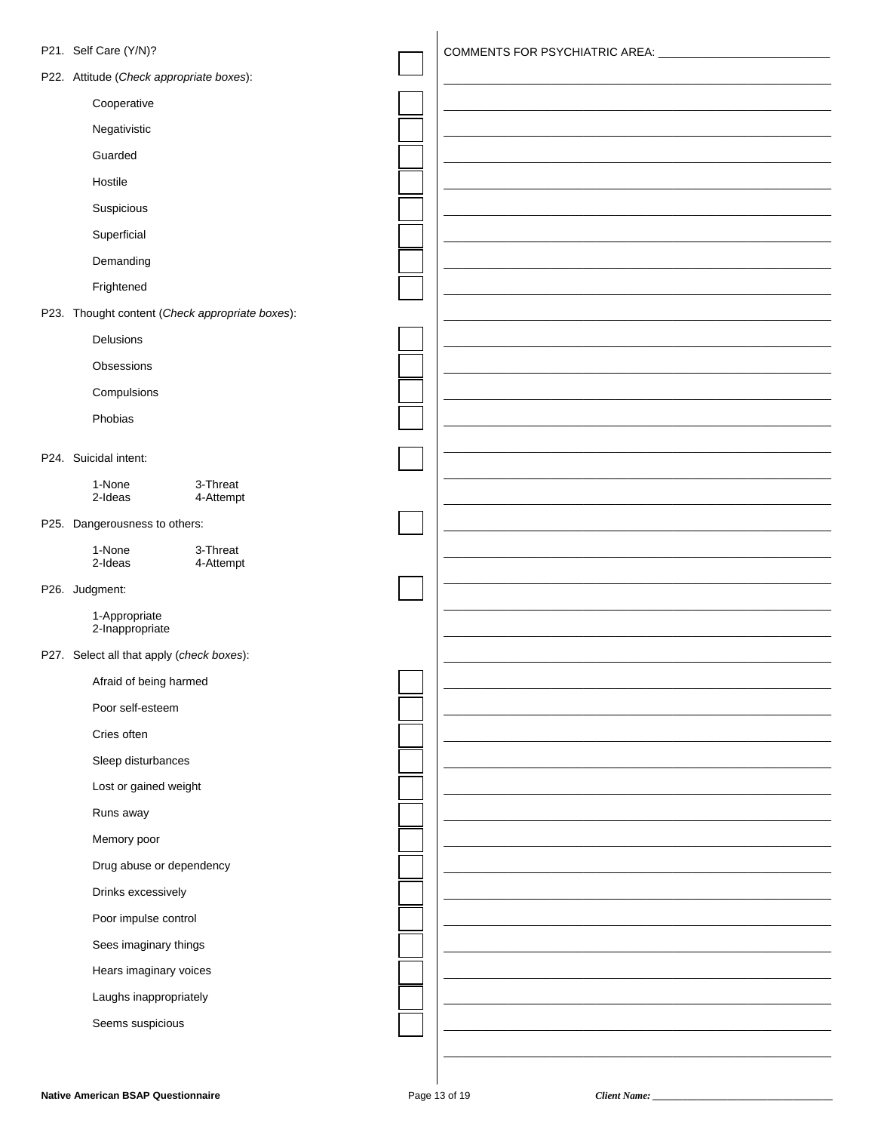| P21. Self Care (Y/N)?                           |                                  |
|-------------------------------------------------|----------------------------------|
|                                                 | COMMENTS FOR PSYCHIATRIC AREA: _ |
| P22. Attitude (Check appropriate boxes):        |                                  |
| Cooperative                                     |                                  |
| Negativistic                                    |                                  |
| Guarded                                         |                                  |
| Hostile                                         |                                  |
| Suspicious                                      |                                  |
| Superficial                                     |                                  |
| Demanding                                       |                                  |
| Frightened                                      |                                  |
| P23. Thought content (Check appropriate boxes): |                                  |
| Delusions                                       |                                  |
| Obsessions                                      |                                  |
| Compulsions                                     |                                  |
| Phobias                                         |                                  |
|                                                 |                                  |
| P24. Suicidal intent:                           |                                  |
| 1-None<br>3-Threat<br>2-Ideas<br>4-Attempt      |                                  |
| P25. Dangerousness to others:                   |                                  |
| 1-None<br>3-Threat                              |                                  |
| 2-Ideas<br>4-Attempt                            |                                  |
| P26. Judgment:                                  |                                  |
| 1-Appropriate<br>2-Inappropriate                |                                  |
| P27. Select all that apply (check boxes):       |                                  |
| Afraid of being harmed                          |                                  |
| Poor self-esteem                                |                                  |
| Cries often                                     |                                  |
| Sleep disturbances                              |                                  |
| Lost or gained weight                           |                                  |
| Runs away                                       |                                  |
| Memory poor                                     |                                  |
| Drug abuse or dependency                        |                                  |
|                                                 |                                  |
| Drinks excessively                              |                                  |
| Poor impulse control                            |                                  |
| Sees imaginary things                           |                                  |
| Hears imaginary voices                          |                                  |
| Laughs inappropriately                          |                                  |
| Seems suspicious                                |                                  |
|                                                 |                                  |

Client Name: \_\_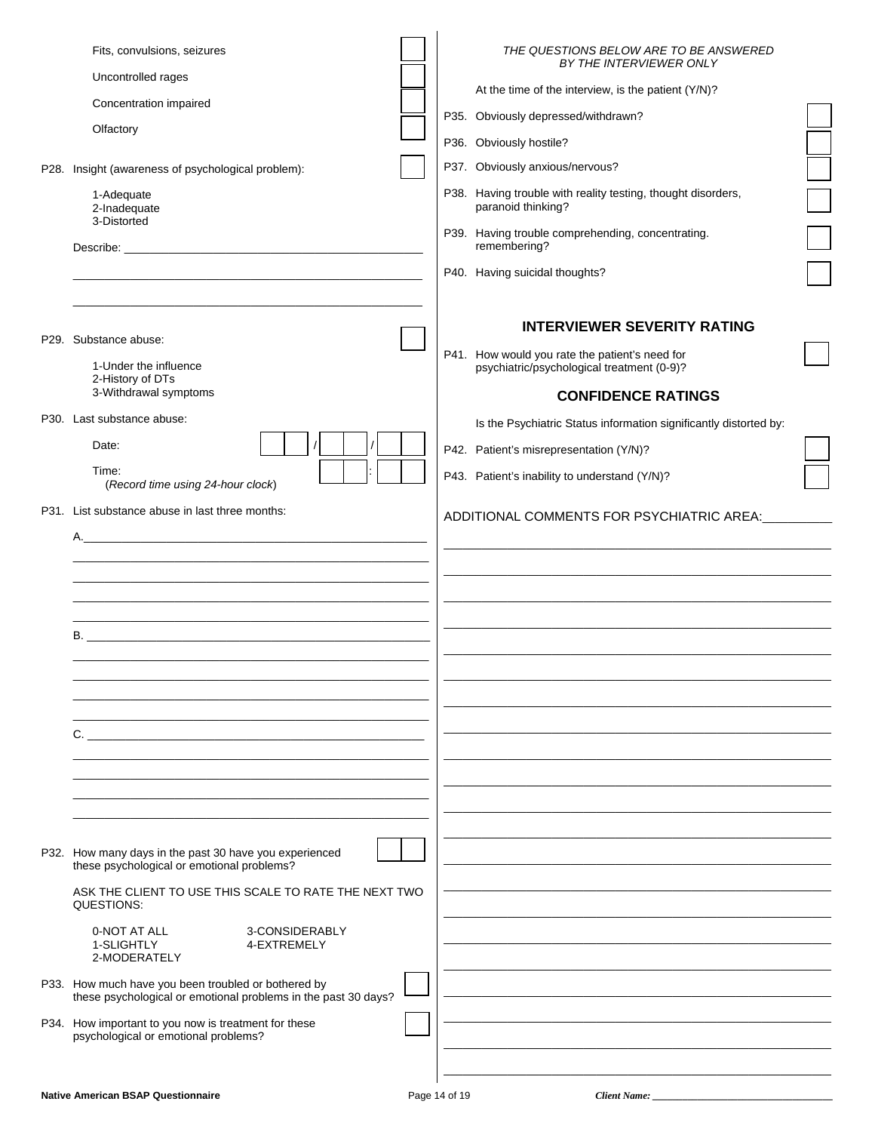| Fits, convulsions, seizures<br>Uncontrolled rages<br>Concentration impaired<br>Olfactory<br>P28. Insight (awareness of psychological problem):<br>1-Adequate<br>2-Inadequate<br>3-Distorted                                                                | THE QUESTIONS BELOW ARE TO BE ANSWERED<br>BY THE INTERVIEWER ONLY<br>At the time of the interview, is the patient (Y/N)?<br>P35. Obviously depressed/withdrawn?<br>P36. Obviously hostile?<br>P37. Obviously anxious/nervous?<br>P38. Having trouble with reality testing, thought disorders,<br>paranoid thinking?<br>P39. Having trouble comprehending, concentrating.<br>remembering?<br>P40. Having suicidal thoughts? |  |
|------------------------------------------------------------------------------------------------------------------------------------------------------------------------------------------------------------------------------------------------------------|----------------------------------------------------------------------------------------------------------------------------------------------------------------------------------------------------------------------------------------------------------------------------------------------------------------------------------------------------------------------------------------------------------------------------|--|
| P29. Substance abuse:<br>1-Under the influence<br>2-History of DTs<br>3-Withdrawal symptoms                                                                                                                                                                | <b>INTERVIEWER SEVERITY RATING</b><br>P41. How would you rate the patient's need for<br>psychiatric/psychological treatment (0-9)?<br><b>CONFIDENCE RATINGS</b>                                                                                                                                                                                                                                                            |  |
| P30. Last substance abuse:<br>Date:<br>Time:<br>(Record time using 24-hour clock)                                                                                                                                                                          | Is the Psychiatric Status information significantly distorted by:<br>P42. Patient's misrepresentation (Y/N)?<br>P43. Patient's inability to understand (Y/N)?                                                                                                                                                                                                                                                              |  |
| P31. List substance abuse in last three months:<br>А.<br><u> 1989 - Johann John Stone, markin amerikan basar dan berkembang di banyak di banyak di banyak di banyak di ban</u><br>$\mathsf{C}$ .                                                           | ADDITIONAL COMMENTS FOR PSYCHIATRIC AREA:                                                                                                                                                                                                                                                                                                                                                                                  |  |
| P32. How many days in the past 30 have you experienced<br>these psychological or emotional problems?<br>ASK THE CLIENT TO USE THIS SCALE TO RATE THE NEXT TWO<br>QUESTIONS:<br>0-NOT AT ALL<br>3-CONSIDERABLY<br>1-SLIGHTLY<br>4-EXTREMELY<br>2-MODERATELY |                                                                                                                                                                                                                                                                                                                                                                                                                            |  |
| P33. How much have you been troubled or bothered by<br>these psychological or emotional problems in the past 30 days?                                                                                                                                      |                                                                                                                                                                                                                                                                                                                                                                                                                            |  |
| P34. How important to you now is treatment for these<br>psychological or emotional problems?                                                                                                                                                               |                                                                                                                                                                                                                                                                                                                                                                                                                            |  |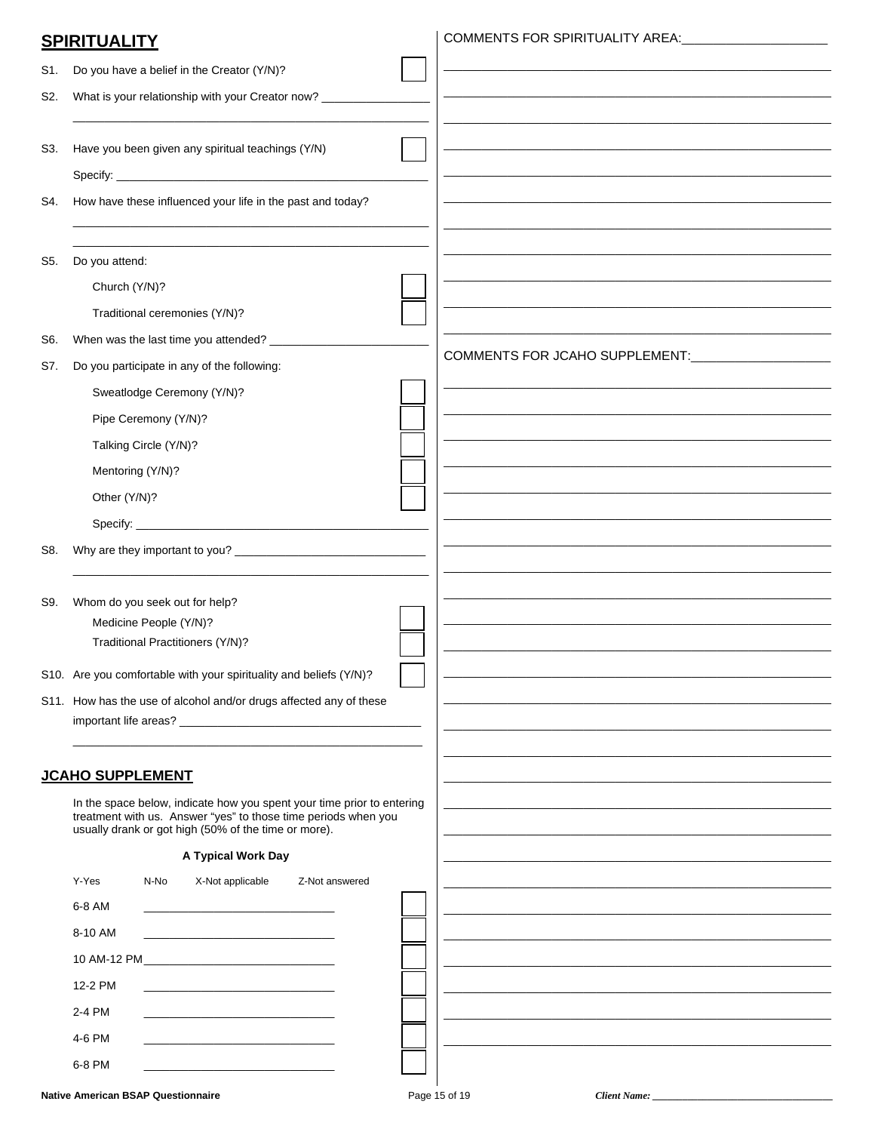| S1. | Do you have a belief in the Creator (Y/N)?                                                                             |                                |
|-----|------------------------------------------------------------------------------------------------------------------------|--------------------------------|
|     |                                                                                                                        |                                |
| S2. | What is your relationship with your Creator now? ________                                                              |                                |
| S3. | Have you been given any spiritual teachings (Y/N)                                                                      |                                |
|     |                                                                                                                        |                                |
| S4. | How have these influenced your life in the past and today?                                                             |                                |
|     |                                                                                                                        |                                |
|     |                                                                                                                        |                                |
| S5. | Do you attend:                                                                                                         |                                |
|     | Church (Y/N)?                                                                                                          |                                |
|     | Traditional ceremonies (Y/N)?                                                                                          |                                |
| S6. | When was the last time you attended? _________                                                                         | COMMENTS FOR JCAHO SUPPLEMENT: |
| S7. | Do you participate in any of the following:                                                                            |                                |
|     | Sweatlodge Ceremony (Y/N)?                                                                                             |                                |
|     | Pipe Ceremony (Y/N)?                                                                                                   |                                |
|     | Talking Circle (Y/N)?                                                                                                  |                                |
|     | Mentoring (Y/N)?                                                                                                       |                                |
|     | Other (Y/N)?                                                                                                           |                                |
|     |                                                                                                                        |                                |
| S8. |                                                                                                                        |                                |
|     |                                                                                                                        |                                |
| S9. | Whom do you seek out for help?                                                                                         |                                |
|     | Medicine People (Y/N)?<br>Traditional Practitioners (Y/N)?                                                             |                                |
|     |                                                                                                                        |                                |
|     | S10. Are you comfortable with your spirituality and beliefs (Y/N)?                                                     |                                |
|     | S11. How has the use of alcohol and/or drugs affected any of these                                                     |                                |
|     |                                                                                                                        |                                |
|     | <b>JCAHO SUPPLEMENT</b>                                                                                                |                                |
|     | In the space below, indicate how you spent your time prior to entering                                                 |                                |
|     | treatment with us. Answer "yes" to those time periods when you<br>usually drank or got high (50% of the time or more). |                                |
|     | A Typical Work Day                                                                                                     |                                |
|     | Y-Yes<br>N-No<br>X-Not applicable<br>Z-Not answered                                                                    |                                |
|     | 6-8 AM<br><u> 1989 - Johann John Stone, mars eta biztanleria (</u>                                                     |                                |
|     | 8-10 AM<br>the control of the control of the control of the control of the control of                                  |                                |
|     |                                                                                                                        |                                |
|     | 12-2 PM                                                                                                                |                                |
|     | 2-4 PM                                                                                                                 |                                |
|     | 4-6 PM                                                                                                                 |                                |
|     | 6-8 PM                                                                                                                 |                                |
|     |                                                                                                                        |                                |

#### **Native American BSAP Questionnaire**

**SPIRITUALITY** 

Client Name: \_\_

COMMENTS FOR SPIRITUALITY AREA: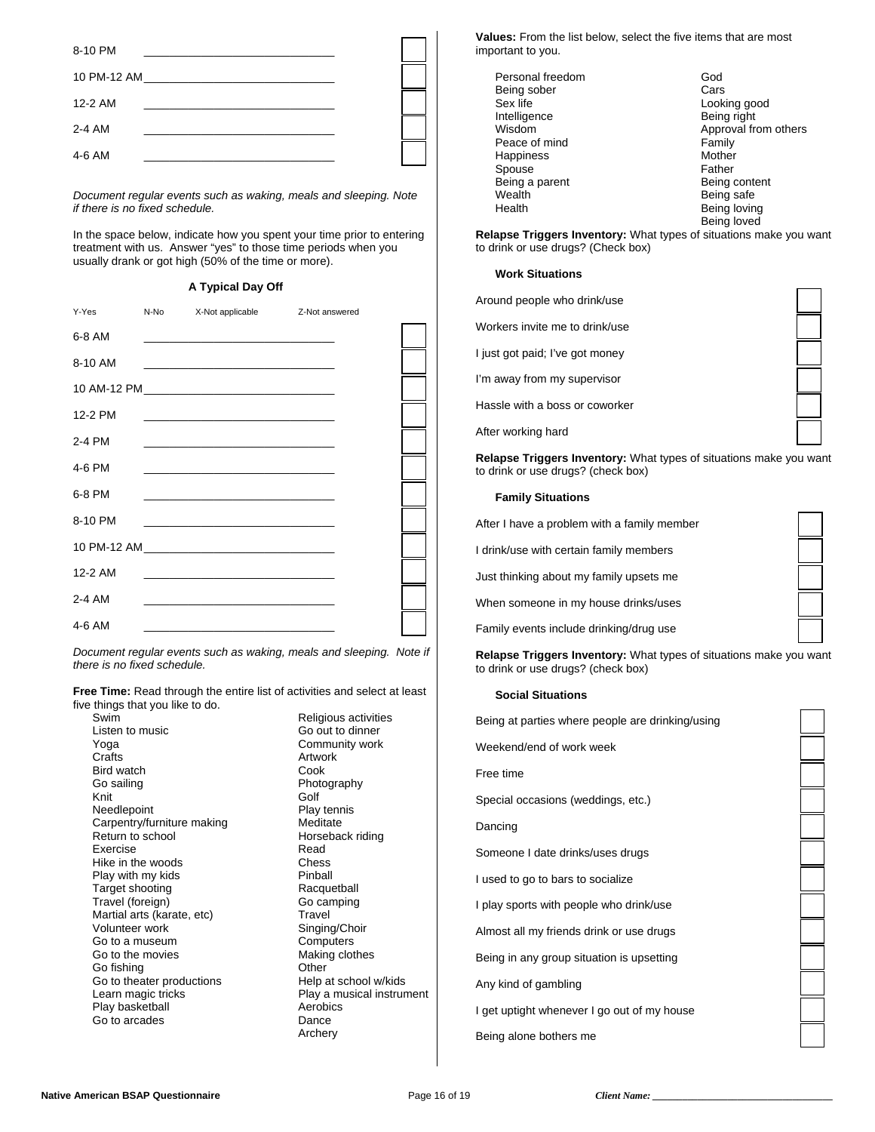| 8-10 PM     |  |
|-------------|--|
| 10 PM-12 AM |  |
| 12-2 AM     |  |
| 2-4 AM      |  |
| 4-6 AM      |  |

 *Document regular events such as waking, meals and sleeping. Note if there is no fixed schedule.*

 In the space below, indicate how you spent your time prior to entering treatment with us. Answer "yes" to those time periods when you usually drank or got high (50% of the time or more).

#### **A Typical Day Off**

| Y-Yes   | N-No | X-Not applicable Z-Not answered                                                                                      |  |  |
|---------|------|----------------------------------------------------------------------------------------------------------------------|--|--|
| 6-8 AM  |      | <u> 1989 - Johann John Stein, markin fan it ferstjer fan it ferstjer fan it ferstjer fan it ferstjer fan it fers</u> |  |  |
| 8-10 AM |      | <u> 1989 - Johann John Stone, market fan it ferstjer fan it ferstjer fan it ferstjer fan it ferstjer fan it fers</u> |  |  |
|         |      |                                                                                                                      |  |  |
| 12-2 PM |      | the control of the control of the control of the control of the control of the control of                            |  |  |
| 2-4 PM  |      |                                                                                                                      |  |  |
| 4-6 PM  |      |                                                                                                                      |  |  |
| 6-8 PM  |      |                                                                                                                      |  |  |
| 8-10 PM |      | the control of the control of the control of the control of the control of the control of                            |  |  |
|         |      | 10 PM-12 AM 2008 10 PM-12 AM                                                                                         |  |  |
| 12-2 AM |      | <u> 2000 - 2000 - 2000 - 2000 - 2000 - 2000 - 2000 - 2000 - 2000 - 2000 - 2000 - 2000 - 2000 - 2000 - 2000 - 200</u> |  |  |
| 2-4 AM  |      |                                                                                                                      |  |  |
| 4-6 AM  |      |                                                                                                                      |  |  |

*Document regular events such as waking, meals and sleeping. Note if there is no fixed schedule.* 

**Free Time:** Read through the entire list of activities and select at least five things that you like to do.

| Swim                       | Religio |
|----------------------------|---------|
| Listen to music            | Go ou   |
| Yoga                       | Comm    |
| Crafts                     | Artwor  |
| Bird watch                 | Cook    |
| Go sailing                 | Photo   |
| Knit                       | Golf    |
| Needlepoint                | Play te |
| Carpentry/furniture making | Medita  |
| Return to school           | Horse   |
| Exercise                   | Read    |
| Hike in the woods          | Chess   |
| Play with my kids          | Pinbal  |
| Target shooting            | Racqu   |
| Travel (foreign)           | Go ca   |
| Martial arts (karate, etc) | Travel  |
| Volunteer work             | Singin  |
| Go to a museum             | Comp    |
| Go to the movies           | Makin   |
| Go fishing                 | Other   |
| Go to theater productions  | Help a  |
| Learn magic tricks         | Play a  |
| Play basketball            | Aerob   |
| Go to arcades              | Dance   |
|                            | Archai  |

Religious activities Go out to dinner Community work Artwork<br>Cook Photography Play tennis Meditate Horseback riding Read Chess Pinball Racquetball Go camping **Travel** Singing/Choir Computers Making clothes<br>Other Help at school w/kids Play a musical instrument **Aerobics** Dance Archery

**Values:** From the list below, select the five items that are most important to you.

Personal freedom God Being sober Cars Cars<br>
Sex life Cars<br>
Cook Looking good<br>Being right Intelligence<br>Wisdom Approval from others Peace of mind<br>
Happiness<br>
Happiness Happiness Mother<br>Spouse **Mother**<br>Father Spouse Father<br>Being a parent Father Father Being content Being a parent Wealth **Being safe** Health **Being loving** Being loved

**Relapse Triggers Inventory:** What types of situations make you want to drink or use drugs? (Check box)

#### **Work Situations**

| Around people who drink/use     |  |
|---------------------------------|--|
| Workers invite me to drink/use  |  |
| I just got paid; I've got money |  |
| I'm away from my supervisor     |  |
| Hassle with a boss or coworker  |  |
| After working hard              |  |

**Relapse Triggers Inventory:** What types of situations make you want to drink or use drugs? (check box)

#### **Family Situations**

| After I have a problem with a family member |
|---------------------------------------------|
| I drink/use with certain family members     |
| Just thinking about my family upsets me     |
| When someone in my house drinks/uses        |

Family events include drinking/drug use

**Relapse Triggers Inventory:** What types of situations make you want to drink or use drugs? (check box)

#### **Social Situations**

| Being at parties where people are drinking/using |
|--------------------------------------------------|
| Weekend/end of work week                         |
| Free time                                        |
| Special occasions (weddings, etc.)               |
| Dancing                                          |
| Someone I date drinks/uses drugs                 |
| I used to go to bars to socialize                |
| I play sports with people who drink/use          |
| Almost all my friends drink or use drugs         |
| Being in any group situation is upsetting        |
| Any kind of gambling                             |
| I get uptight whenever I go out of my house      |
| Being alone bothers me                           |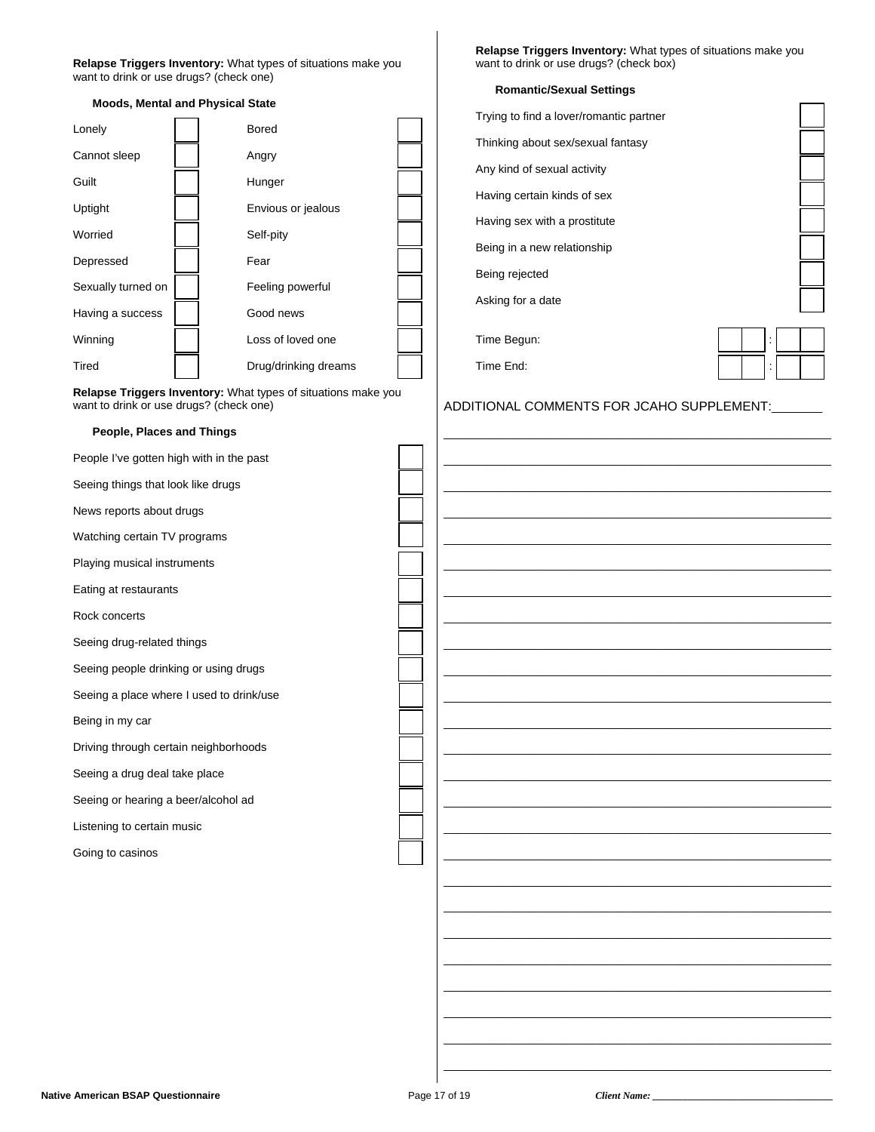#### **Relapse Triggers Inventory:** What types of situations make you want to drink or use drugs? (check one)

| <b>Moods, Mental and Physical State</b> |                    |  |                      |  |  |  |
|-----------------------------------------|--------------------|--|----------------------|--|--|--|
|                                         | Lonely             |  | <b>Bored</b>         |  |  |  |
|                                         | Cannot sleep       |  | Angry                |  |  |  |
|                                         | Guilt              |  | Hunger               |  |  |  |
|                                         | Uptight            |  | Envious or jealous   |  |  |  |
|                                         | Worried            |  | Self-pity            |  |  |  |
|                                         | Depressed          |  | Fear                 |  |  |  |
|                                         | Sexually turned on |  | Feeling powerful     |  |  |  |
|                                         | Having a success   |  | Good news            |  |  |  |
|                                         | Winning            |  | Loss of loved one    |  |  |  |
|                                         | Tired              |  | Drug/drinking dreams |  |  |  |
|                                         |                    |  |                      |  |  |  |

**Relapse Triggers Inventory:** What types of situations make you want to drink or use drugs? (check one)

#### **People, Places and Things**

People I've gotten high with in the past

Seeing things that look like drugs

News reports about drugs

Watching certain TV programs

Playing musical instruments

Eating at restaurants

Rock concerts

Seeing drug-related things

Seeing people drinking or using drugs

Seeing a place where I used to drink/use

Being in my car

Driving through certain neighborhoods

Seeing a drug deal take place

Seeing or hearing a beer/alcohol ad

Listening to certain music

Going to casinos

**Relapse Triggers Inventory:** What types of situations make you want to drink or use drugs? (check box)

| <b>Romantic/Sexual Settings</b>         |  |  |  |
|-----------------------------------------|--|--|--|
| Trying to find a lover/romantic partner |  |  |  |
| Thinking about sex/sexual fantasy       |  |  |  |
| Any kind of sexual activity             |  |  |  |
| Having certain kinds of sex             |  |  |  |
| Having sex with a prostitute            |  |  |  |
| Being in a new relationship             |  |  |  |
| Being rejected                          |  |  |  |
| Asking for a date                       |  |  |  |
|                                         |  |  |  |
| Time Begun:                             |  |  |  |
| Time End:                               |  |  |  |

#### ADDITIONAL COMMENTS FOR JCAHO SUPPLEMENT:

\_\_\_\_\_\_\_\_\_\_\_\_\_\_\_\_\_\_\_\_\_\_\_\_\_\_\_\_\_\_\_\_\_\_\_\_\_\_\_\_\_\_\_\_\_\_\_\_\_\_\_\_\_\_\_\_\_\_\_\_\_ \_\_\_\_\_\_\_\_\_\_\_\_\_\_\_\_\_\_\_\_\_\_\_\_\_\_\_\_\_\_\_\_\_\_\_\_\_\_\_\_\_\_\_\_\_\_\_\_\_\_\_\_\_\_\_\_\_\_\_\_\_ \_\_\_\_\_\_\_\_\_\_\_\_\_\_\_\_\_\_\_\_\_\_\_\_\_\_\_\_\_\_\_\_\_\_\_\_\_\_\_\_\_\_\_\_\_\_\_\_\_\_\_\_\_\_\_\_\_\_\_\_\_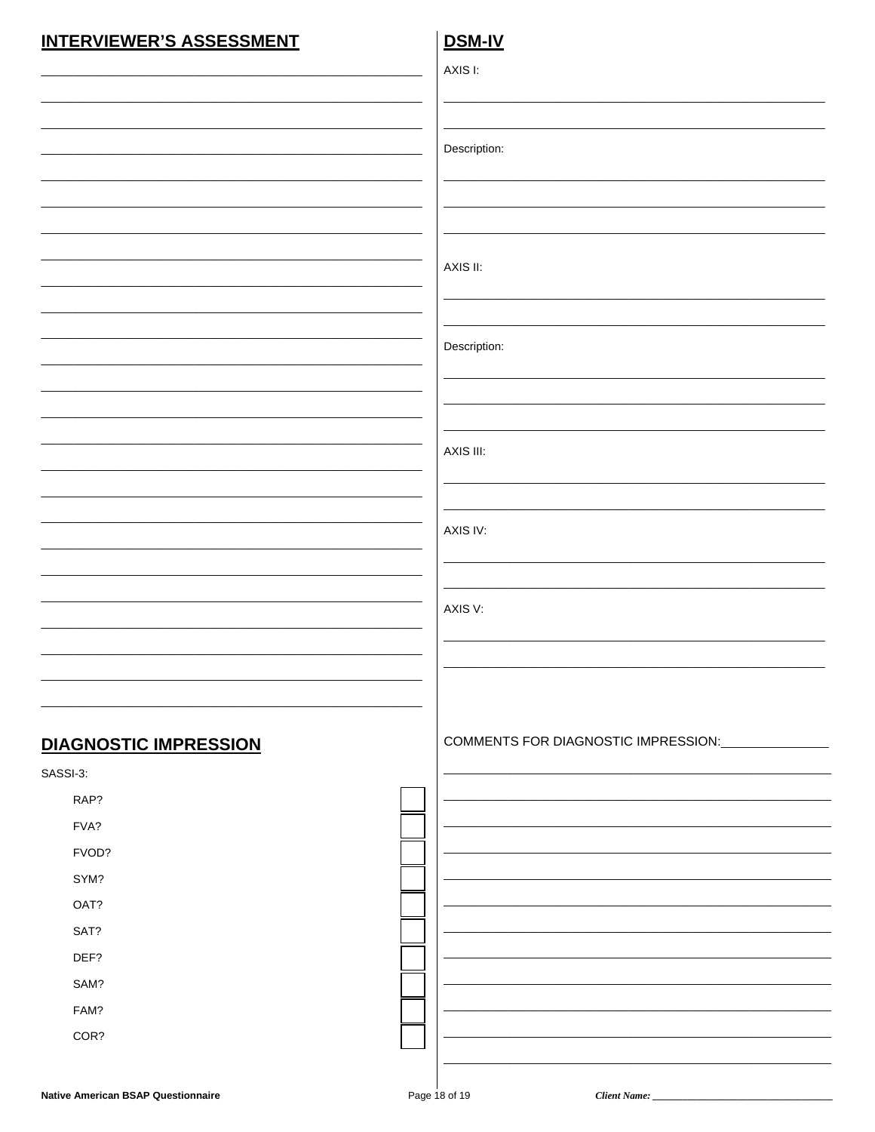### **INTERVIEWER'S ASSESSMENT**

### DSM-IV

|                              | AXIS I:                                           |
|------------------------------|---------------------------------------------------|
|                              |                                                   |
|                              |                                                   |
|                              | Description:                                      |
|                              |                                                   |
|                              |                                                   |
|                              |                                                   |
|                              |                                                   |
|                              | AXIS II:                                          |
|                              |                                                   |
|                              |                                                   |
|                              | Description:                                      |
|                              |                                                   |
|                              |                                                   |
|                              |                                                   |
|                              | AXIS III:                                         |
|                              |                                                   |
|                              |                                                   |
|                              | AXIS IV:                                          |
|                              |                                                   |
|                              |                                                   |
|                              | AXIS V:                                           |
|                              |                                                   |
|                              |                                                   |
|                              |                                                   |
|                              |                                                   |
| <b>DIAGNOSTIC IMPRESSION</b> | COMMENTS FOR DIAGNOSTIC IMPRESSION: _____________ |
| SASSI-3:                     |                                                   |
| RAP?                         |                                                   |
| FVA?                         |                                                   |
| FVOD?                        |                                                   |
| SYM?                         |                                                   |
| OAT?                         |                                                   |
| SAT?                         |                                                   |
|                              |                                                   |
| DEF?                         |                                                   |
| SAM?                         |                                                   |
| FAM?                         |                                                   |
| COR?                         |                                                   |

Client Name: